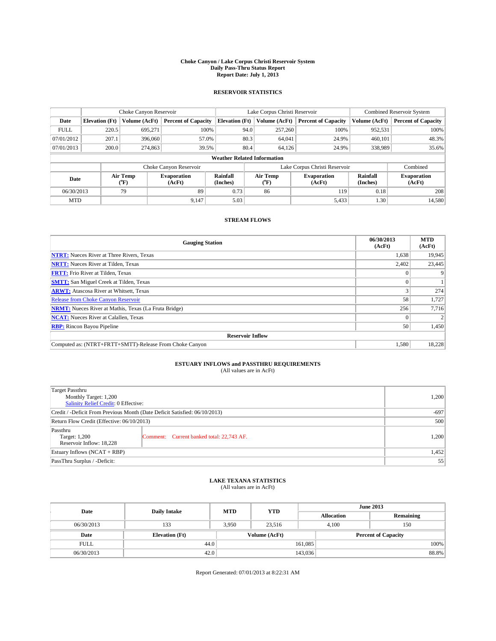#### **Choke Canyon / Lake Corpus Christi Reservoir System Daily Pass-Thru Status Report Report Date: July 1, 2013**

### **RESERVOIR STATISTICS**

|             | Choke Canyon Reservoir |                  | Lake Corpus Christi Reservoir |                                    |                               |                  | <b>Combined Reservoir System</b> |               |                              |
|-------------|------------------------|------------------|-------------------------------|------------------------------------|-------------------------------|------------------|----------------------------------|---------------|------------------------------|
| Date        | <b>Elevation</b> (Ft)  | Volume (AcFt)    | <b>Percent of Capacity</b>    | <b>Elevation (Ft)</b>              |                               | Volume (AcFt)    | <b>Percent of Capacity</b>       | Volume (AcFt) | Percent of Capacity          |
| <b>FULL</b> | 220.5                  | 695,271          | 100%                          |                                    | 94.0                          | 257,260          | 100%                             | 952,531       | 100%                         |
| 07/01/2012  | 207.1                  | 396,060          | 57.0%                         |                                    | 80.3                          | 64,041           | 24.9%                            | 460,101       | 48.3%                        |
| 07/01/2013  | 200.0                  | 274,863          | 39.5%                         |                                    | 80.4                          | 64.126           | 24.9%                            | 338,989       | $35.6\%$                     |
|             |                        |                  |                               | <b>Weather Related Information</b> |                               |                  |                                  |               |                              |
|             |                        |                  | Choke Canyon Reservoir        |                                    | Lake Corpus Christi Reservoir |                  |                                  |               | Combined                     |
| Date        |                        | Air Temp<br>(°F) | Evaporation<br>(AcFt)         | Rainfall<br>(Inches)               |                               | Air Temp<br>("F) | <b>Evaporation</b><br>(AcFt)     |               | <b>Evaporation</b><br>(AcFt) |
| 06/30/2013  |                        | 79               | 89                            | 0.73                               |                               | 86               | 119                              | 0.18          | 208                          |
| <b>MTD</b>  |                        |                  | 9.147                         | 5.03                               |                               |                  | 5,433                            | 1.30          | 14,580                       |

## **STREAM FLOWS**

| <b>Gauging Station</b>                                       | 06/30/2013<br>(AcFt) | <b>MTD</b><br>(AcFt) |
|--------------------------------------------------------------|----------------------|----------------------|
| <b>NTRT:</b> Nueces River at Three Rivers, Texas             | 1,638                | 19,945               |
| <b>NRTT:</b> Nueces River at Tilden, Texas                   | 2,402                | 23,445               |
| <b>FRTT:</b> Frio River at Tilden, Texas                     |                      |                      |
| <b>SMTT:</b> San Miguel Creek at Tilden, Texas               |                      |                      |
| <b>ARWT:</b> Atascosa River at Whitsett, Texas               |                      | 274                  |
| <b>Release from Choke Canyon Reservoir</b>                   | 58                   | 1,727                |
| <b>NRMT:</b> Nueces River at Mathis, Texas (La Fruta Bridge) | 256                  | 7,716                |
| <b>NCAT:</b> Nueces River at Calallen, Texas                 |                      |                      |
| <b>RBP:</b> Rincon Bayou Pipeline                            | 50                   | 1,450                |
| <b>Reservoir Inflow</b>                                      |                      |                      |
| Computed as: (NTRT+FRTT+SMTT)-Release From Choke Canyon      | 1,580                | 18,228               |

# **ESTUARY INFLOWS and PASSTHRU REQUIREMENTS**<br>(All values are in AcFt)

| Target Passthru<br>Monthly Target: 1,200<br>Salinity Relief Credit: 0 Effective: |                                           |       |  |
|----------------------------------------------------------------------------------|-------------------------------------------|-------|--|
| Credit / -Deficit From Previous Month (Date Deficit Satisfied: 06/10/2013)       |                                           |       |  |
| Return Flow Credit (Effective: 06/10/2013)                                       | 500                                       |       |  |
| Passthru<br>Target: 1,200<br>Reservoir Inflow: 18,228                            | Comment: Current banked total: 22,743 AF. | 1,200 |  |
| Estuary Inflows $(NCAT + RBP)$                                                   | 1,452                                     |       |  |
| PassThru Surplus / -Deficit:                                                     | 55                                        |       |  |

# **LAKE TEXANA STATISTICS** (All values are in AcFt)

| Date        | <b>Daily Intake</b>   | <b>MTD</b> | <b>YTD</b>    | <b>June 2013</b>  |                            |  |  |
|-------------|-----------------------|------------|---------------|-------------------|----------------------------|--|--|
|             |                       |            |               | <b>Allocation</b> | Remaining                  |  |  |
| 06/30/2013  | 133                   | 3,950      | 23,516        | 4,100             | 150                        |  |  |
| Date        | <b>Elevation</b> (Ft) |            | Volume (AcFt) |                   | <b>Percent of Capacity</b> |  |  |
| <b>FULL</b> | 44.0                  |            |               | 161,085           | 100%                       |  |  |
| 06/30/2013  | 42.0                  |            |               | 143,036           | 88.8%                      |  |  |

Report Generated: 07/01/2013 at 8:22:31 AM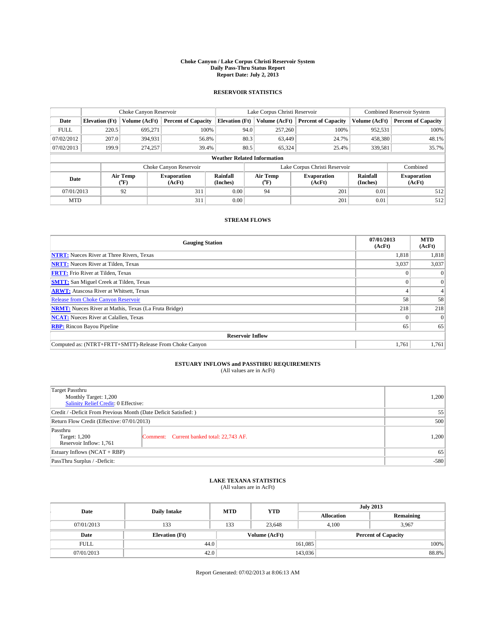#### **Choke Canyon / Lake Corpus Christi Reservoir System Daily Pass-Thru Status Report Report Date: July 2, 2013**

### **RESERVOIR STATISTICS**

|             |                       | Choke Canyon Reservoir |                              |                                    | Lake Corpus Christi Reservoir | <b>Combined Reservoir System</b> |                      |                              |
|-------------|-----------------------|------------------------|------------------------------|------------------------------------|-------------------------------|----------------------------------|----------------------|------------------------------|
| Date        | <b>Elevation</b> (Ft) | Volume (AcFt)          | <b>Percent of Capacity</b>   | <b>Elevation (Ft)</b>              | Volume (AcFt)                 | <b>Percent of Capacity</b>       | Volume (AcFt)        | <b>Percent of Capacity</b>   |
| <b>FULL</b> | 220.5                 | 695,271                | 100%                         | 94.0                               | 257,260                       | 100%                             | 952,531              | 100%                         |
| 07/02/2012  | 207.0                 | 394,931                | 56.8%                        | 80.3                               | 63,449                        | 24.7%                            | 458,380              | 48.1%                        |
| 07/02/2013  | 199.9                 | 274,257                | 39.4%                        | 80.5                               | 65,324                        | 25.4%                            | 339,581              | 35.7%                        |
|             |                       |                        |                              | <b>Weather Related Information</b> |                               |                                  |                      |                              |
|             |                       |                        | Choke Canyon Reservoir       |                                    | Lake Corpus Christi Reservoir | Combined                         |                      |                              |
| Date        |                       | Air Temp<br>(°F)       | <b>Evaporation</b><br>(AcFt) | Rainfall<br>(Inches)               | Air Temp<br>(°F)              | <b>Evaporation</b><br>(AcFt)     | Rainfall<br>(Inches) | <b>Evaporation</b><br>(AcFt) |
| 07/01/2013  |                       | 92                     | 311                          | 0.00                               | 94                            | 201                              | 0.01                 | 512                          |
| <b>MTD</b>  |                       |                        | 311                          | 0.00                               |                               | 201                              | 0.01                 | 512                          |

## **STREAM FLOWS**

| <b>Gauging Station</b>                                       | 07/01/2013<br>(AcFt) | <b>MTD</b><br>(AcFt) |
|--------------------------------------------------------------|----------------------|----------------------|
| <b>NTRT:</b> Nueces River at Three Rivers, Texas             | 1,818                | 1,818                |
| <b>NRTT:</b> Nueces River at Tilden, Texas                   | 3,037                | 3,037                |
| <b>FRTT:</b> Frio River at Tilden, Texas                     |                      | $\theta$             |
| <b>SMTT:</b> San Miguel Creek at Tilden, Texas               |                      | $\overline{0}$       |
| <b>ARWT:</b> Atascosa River at Whitsett, Texas               |                      |                      |
| <b>Release from Choke Canyon Reservoir</b>                   | 58                   | 58                   |
| <b>NRMT:</b> Nueces River at Mathis, Texas (La Fruta Bridge) | 218                  | 218                  |
| <b>NCAT:</b> Nueces River at Calallen, Texas                 |                      | $\Omega$             |
| <b>RBP:</b> Rincon Bayou Pipeline                            | 65                   | 65                   |
| <b>Reservoir Inflow</b>                                      |                      |                      |
| Computed as: (NTRT+FRTT+SMTT)-Release From Choke Canyon      | 1,761                | 1,761                |

# **ESTUARY INFLOWS and PASSTHRU REQUIREMENTS**<br>(All values are in AcFt)

| Target Passthru<br>Monthly Target: 1,200<br>Salinity Relief Credit: 0 Effective: |                                           |       |  |
|----------------------------------------------------------------------------------|-------------------------------------------|-------|--|
| Credit / -Deficit From Previous Month (Date Deficit Satisfied: )                 |                                           |       |  |
| Return Flow Credit (Effective: 07/01/2013)                                       |                                           |       |  |
| Passthru<br>Target: 1,200<br>Reservoir Inflow: 1,761                             | Comment: Current banked total: 22,743 AF. | 1,200 |  |
| Estuary Inflows (NCAT + RBP)                                                     | 65                                        |       |  |
| PassThru Surplus / -Deficit:                                                     | $-580$                                    |       |  |

## **LAKE TEXANA STATISTICS** (All values are in AcFt)

| Date        | <b>Daily Intake</b>   | <b>MTD</b>    | <b>YTD</b> | <b>July 2013</b>  |                            |           |  |
|-------------|-----------------------|---------------|------------|-------------------|----------------------------|-----------|--|
|             |                       |               |            | <b>Allocation</b> |                            | Remaining |  |
| 07/01/2013  | 133                   | 133           | 23.648     |                   | 3,967<br>4.100             |           |  |
| Date        | <b>Elevation</b> (Ft) | Volume (AcFt) |            |                   | <b>Percent of Capacity</b> |           |  |
| <b>FULL</b> | 44.0                  |               |            | 161,085           |                            | 100%      |  |
| 07/01/2013  | 42.0                  |               |            | 143,036           |                            | 88.8%     |  |

Report Generated: 07/02/2013 at 8:06:13 AM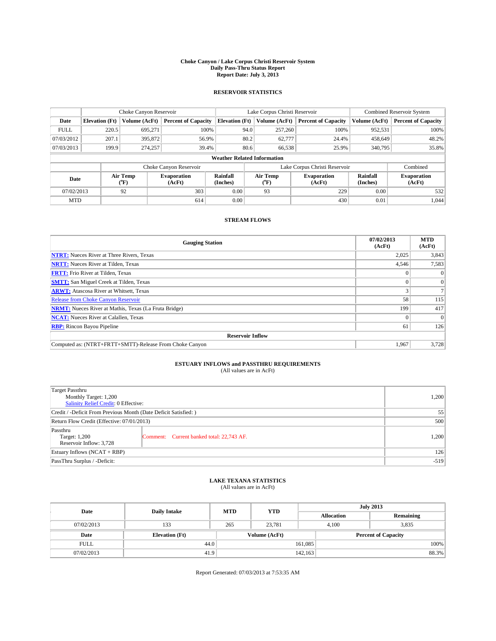#### **Choke Canyon / Lake Corpus Christi Reservoir System Daily Pass-Thru Status Report Report Date: July 3, 2013**

### **RESERVOIR STATISTICS**

|             |                       | Choke Canyon Reservoir |                              |                                    | Lake Corpus Christi Reservoir | <b>Combined Reservoir System</b> |               |                              |
|-------------|-----------------------|------------------------|------------------------------|------------------------------------|-------------------------------|----------------------------------|---------------|------------------------------|
| Date        | <b>Elevation</b> (Ft) | Volume (AcFt)          | <b>Percent of Capacity</b>   | <b>Elevation (Ft)</b>              | Volume (AcFt)                 | <b>Percent of Capacity</b>       | Volume (AcFt) | <b>Percent of Capacity</b>   |
| <b>FULL</b> | 220.5                 | 695,271                | 100%                         | 94.0                               | 257,260                       | 100%                             | 952,531       | 100%                         |
| 07/03/2012  | 207.1                 | 395,872                | 56.9%                        | 80.2                               | 62,777                        | 24.4%                            | 458,649       | 48.2%                        |
| 07/03/2013  | 199.9                 | 274,257                | 39.4%                        | 80.6                               | 66,538                        | 25.9%                            | 340,795       | 35.8%                        |
|             |                       |                        |                              | <b>Weather Related Information</b> |                               |                                  |               |                              |
|             |                       |                        | Choke Canyon Reservoir       |                                    | Lake Corpus Christi Reservoir |                                  |               |                              |
| Date        |                       | Air Temp<br>(°F)       | <b>Evaporation</b><br>(AcFt) | Rainfall<br>(Inches)               | Air Temp<br>(°F)              | <b>Evaporation</b><br>(AcFt)     |               | <b>Evaporation</b><br>(AcFt) |
| 07/02/2013  |                       | 92                     | 303                          | 0.00                               | 93                            | 229                              | 0.00          | 532                          |
| <b>MTD</b>  |                       |                        | 614                          | 0.00                               |                               | 430                              | 0.01          | 1,044                        |

## **STREAM FLOWS**

| <b>Gauging Station</b>                                       | 07/02/2013<br>(AcFt) | <b>MTD</b><br>(AcFt) |
|--------------------------------------------------------------|----------------------|----------------------|
| <b>NTRT:</b> Nueces River at Three Rivers, Texas             | 2,025                | 3,843                |
| <b>NRTT:</b> Nueces River at Tilden, Texas                   | 4,546                | 7,583                |
| <b>FRTT:</b> Frio River at Tilden, Texas                     |                      | $\theta$             |
| <b>SMTT:</b> San Miguel Creek at Tilden, Texas               |                      | $\Omega$             |
| <b>ARWT:</b> Atascosa River at Whitsett, Texas               |                      |                      |
| <b>Release from Choke Canyon Reservoir</b>                   | 58                   | 115                  |
| <b>NRMT:</b> Nueces River at Mathis, Texas (La Fruta Bridge) | 199                  | 417                  |
| <b>NCAT:</b> Nueces River at Calallen, Texas                 |                      | $\Omega$             |
| <b>RBP:</b> Rincon Bayou Pipeline                            | 61                   | 126                  |
| <b>Reservoir Inflow</b>                                      |                      |                      |
| Computed as: (NTRT+FRTT+SMTT)-Release From Choke Canyon      | 1,967                | 3,728                |

# **ESTUARY INFLOWS and PASSTHRU REQUIREMENTS**<br>(All values are in AcFt)

| Target Passthru<br>Monthly Target: 1,200<br>Salinity Relief Credit: 0 Effective: |                                           |       |  |  |
|----------------------------------------------------------------------------------|-------------------------------------------|-------|--|--|
| Credit / -Deficit From Previous Month (Date Deficit Satisfied: )                 |                                           |       |  |  |
| Return Flow Credit (Effective: 07/01/2013)                                       |                                           |       |  |  |
| Passthru<br>Target: 1,200<br>Reservoir Inflow: 3,728                             | Comment: Current banked total: 22,743 AF. | 1,200 |  |  |
| Estuary Inflows (NCAT + RBP)                                                     | 126                                       |       |  |  |
| PassThru Surplus / -Deficit:                                                     |                                           |       |  |  |

## **LAKE TEXANA STATISTICS** (All values are in AcFt)

| Date        |                       | <b>MTD</b> | <b>YTD</b>    | <b>July 2013</b>  |                            |           |       |
|-------------|-----------------------|------------|---------------|-------------------|----------------------------|-----------|-------|
|             | <b>Daily Intake</b>   |            |               | <b>Allocation</b> |                            | Remaining |       |
| 07/02/2013  | 133                   | 265        | 23.781        | 4.100             |                            | 3,835     |       |
| Date        | <b>Elevation (Ft)</b> |            | Volume (AcFt) |                   | <b>Percent of Capacity</b> |           |       |
| <b>FULL</b> | 44.0                  |            |               | 161,085           |                            |           | 100%  |
| 07/02/2013  | 41.9                  |            |               | 142, 163          |                            |           | 88.3% |

Report Generated: 07/03/2013 at 7:53:35 AM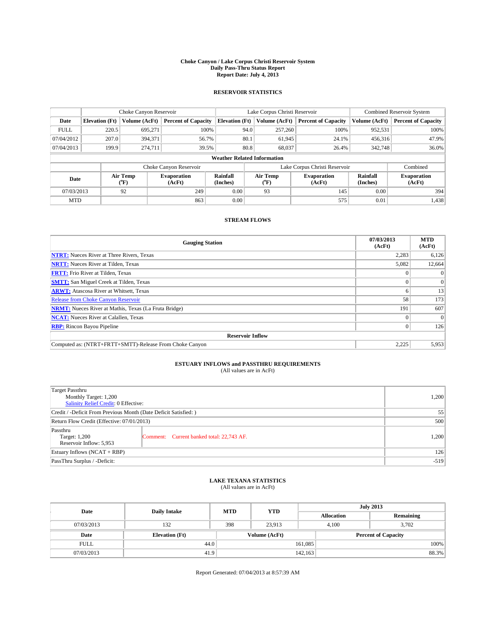#### **Choke Canyon / Lake Corpus Christi Reservoir System Daily Pass-Thru Status Report Report Date: July 4, 2013**

### **RESERVOIR STATISTICS**

|             |                       | Choke Canyon Reservoir |                              |                                    | Lake Corpus Christi Reservoir | <b>Combined Reservoir System</b> |                      |                              |
|-------------|-----------------------|------------------------|------------------------------|------------------------------------|-------------------------------|----------------------------------|----------------------|------------------------------|
| Date        | <b>Elevation</b> (Ft) | Volume (AcFt)          | <b>Percent of Capacity</b>   | <b>Elevation (Ft)</b>              | Volume (AcFt)                 | <b>Percent of Capacity</b>       | Volume (AcFt)        | Percent of Capacity          |
| <b>FULL</b> | 220.5                 | 695,271                | 100%                         | 94.0                               | 257,260                       | 100%                             | 952,531              | 100%                         |
| 07/04/2012  | 207.0                 | 394,371                | 56.7%                        | 80.1                               | 61,945                        | 24.1%                            | 456,316              | 47.9%                        |
| 07/04/2013  | 199.9                 | 274,711                | 39.5%                        | 80.8                               | 68,037                        | 26.4%                            | 342,748              | $36.0\%$                     |
|             |                       |                        |                              | <b>Weather Related Information</b> |                               |                                  |                      |                              |
|             |                       |                        | Choke Canyon Reservoir       |                                    | Lake Corpus Christi Reservoir |                                  | Combined             |                              |
| Date        |                       | Air Temp<br>(°F)       | <b>Evaporation</b><br>(AcFt) | Rainfall<br>(Inches)               | Air Temp<br>("F)              | <b>Evaporation</b><br>(AcFt)     | Rainfall<br>(Inches) | <b>Evaporation</b><br>(AcFt) |
| 07/03/2013  |                       | 92                     | 249                          | 0.00                               | 93                            | 145                              | 0.00                 | 394                          |
| <b>MTD</b>  |                       |                        | 863                          | 0.00                               |                               | 575                              | 0.01                 | 1,438                        |

## **STREAM FLOWS**

| <b>Gauging Station</b>                                       | 07/03/2013<br>(AcFt) | <b>MTD</b><br>(AcFt) |  |  |  |  |  |
|--------------------------------------------------------------|----------------------|----------------------|--|--|--|--|--|
| <b>NTRT:</b> Nueces River at Three Rivers, Texas             | 2,283                | 6,126                |  |  |  |  |  |
| <b>NRTT:</b> Nueces River at Tilden, Texas                   | 5,082                | 12,664               |  |  |  |  |  |
| <b>FRTT:</b> Frio River at Tilden, Texas                     |                      |                      |  |  |  |  |  |
| <b>SMTT:</b> San Miguel Creek at Tilden, Texas               |                      | $\Omega$             |  |  |  |  |  |
| <b>ARWT:</b> Atascosa River at Whitsett, Texas               |                      | 13                   |  |  |  |  |  |
| <b>Release from Choke Canyon Reservoir</b>                   | 58                   | 173                  |  |  |  |  |  |
| <b>NRMT:</b> Nueces River at Mathis, Texas (La Fruta Bridge) | 191                  | 607                  |  |  |  |  |  |
| <b>NCAT:</b> Nueces River at Calallen, Texas                 |                      | $\Omega$             |  |  |  |  |  |
| <b>RBP:</b> Rincon Bayou Pipeline                            | $\Omega$             | 126                  |  |  |  |  |  |
| <b>Reservoir Inflow</b>                                      |                      |                      |  |  |  |  |  |
| Computed as: (NTRT+FRTT+SMTT)-Release From Choke Canyon      | 2,225                | 5,953                |  |  |  |  |  |

# **ESTUARY INFLOWS and PASSTHRU REQUIREMENTS**<br>(All values are in AcFt)

| Target Passthru<br>Monthly Target: 1,200<br>Salinity Relief Credit: 0 Effective: |                                           |       |  |  |
|----------------------------------------------------------------------------------|-------------------------------------------|-------|--|--|
| Credit / -Deficit From Previous Month (Date Deficit Satisfied: )                 |                                           |       |  |  |
| Return Flow Credit (Effective: 07/01/2013)                                       |                                           |       |  |  |
| Passthru<br>Target: 1,200<br>Reservoir Inflow: 5,953                             | Comment: Current banked total: 22,743 AF. | 1,200 |  |  |
| Estuary Inflows (NCAT + RBP)                                                     |                                           |       |  |  |
| PassThru Surplus / -Deficit:                                                     |                                           |       |  |  |

## **LAKE TEXANA STATISTICS** (All values are in AcFt)

| Date        | <b>Daily Intake</b>   | <b>MTD</b> | <b>YTD</b>    | <b>July 2013</b>  |                            |           |  |
|-------------|-----------------------|------------|---------------|-------------------|----------------------------|-----------|--|
|             |                       |            |               | <b>Allocation</b> |                            | Remaining |  |
| 07/03/2013  | 132                   | 398        | 23.913        |                   | 3,702<br>4.100             |           |  |
| Date        | <b>Elevation</b> (Ft) |            | Volume (AcFt) |                   | <b>Percent of Capacity</b> |           |  |
| <b>FULL</b> | 44.0                  |            |               | 161,085           |                            | 100%      |  |
| 07/03/2013  | 41.9                  |            |               | 142,163           |                            | 88.3%     |  |

Report Generated: 07/04/2013 at 8:57:39 AM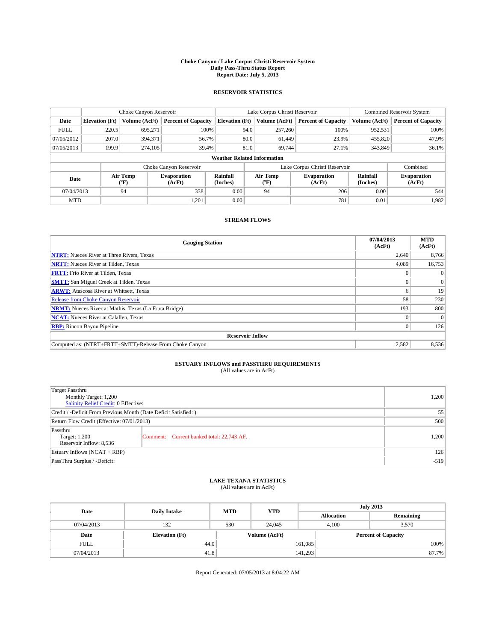#### **Choke Canyon / Lake Corpus Christi Reservoir System Daily Pass-Thru Status Report Report Date: July 5, 2013**

### **RESERVOIR STATISTICS**

|             |                       | Choke Canyon Reservoir |                              |                                    | Lake Corpus Christi Reservoir | <b>Combined Reservoir System</b> |                      |                              |
|-------------|-----------------------|------------------------|------------------------------|------------------------------------|-------------------------------|----------------------------------|----------------------|------------------------------|
| Date        | <b>Elevation</b> (Ft) | Volume (AcFt)          | <b>Percent of Capacity</b>   | <b>Elevation (Ft)</b>              | Volume (AcFt)                 | <b>Percent of Capacity</b>       | Volume (AcFt)        | Percent of Capacity          |
| <b>FULL</b> | 220.5                 | 695,271                | 100%                         | 94.0                               | 257,260                       | 100%                             | 952,531              | 100%                         |
| 07/05/2012  | 207.0                 | 394,371                | 56.7%                        | 80.0                               | 61,449                        | 23.9%                            | 455,820              | 47.9%                        |
| 07/05/2013  | 199.9                 | 274,105                | 39.4%                        | 81.0                               | 69.744                        | 27.1%                            | 343,849              | $36.1\%$                     |
|             |                       |                        |                              | <b>Weather Related Information</b> |                               |                                  |                      |                              |
|             |                       |                        | Choke Canyon Reservoir       |                                    | Lake Corpus Christi Reservoir |                                  | Combined             |                              |
| Date        |                       | Air Temp<br>(°F)       | <b>Evaporation</b><br>(AcFt) | Rainfall<br>(Inches)               | Air Temp<br>("F)              | <b>Evaporation</b><br>(AcFt)     | Rainfall<br>(Inches) | <b>Evaporation</b><br>(AcFt) |
| 07/04/2013  |                       | 94                     | 338                          | 0.00                               | 94                            | 206                              | 0.00                 | 544                          |
| <b>MTD</b>  |                       |                        | 1,201                        | 0.00                               |                               | 781                              | 0.01                 | 1.982                        |

## **STREAM FLOWS**

| <b>Gauging Station</b>                                       | 07/04/2013<br>(AcFt) | <b>MTD</b><br>(AcFt) |
|--------------------------------------------------------------|----------------------|----------------------|
| <b>NTRT:</b> Nueces River at Three Rivers, Texas             | 2,640                | 8,766                |
| <b>NRTT:</b> Nueces River at Tilden, Texas                   | 4,089                | 16,753               |
| <b>FRTT:</b> Frio River at Tilden, Texas                     |                      | $\Omega$             |
| <b>SMTT:</b> San Miguel Creek at Tilden, Texas               |                      | $\overline{0}$       |
| <b>ARWT:</b> Atascosa River at Whitsett, Texas               |                      | 19                   |
| <b>Release from Choke Canyon Reservoir</b>                   | 58                   | 230                  |
| <b>NRMT:</b> Nueces River at Mathis, Texas (La Fruta Bridge) | 193                  | 800                  |
| <b>NCAT:</b> Nueces River at Calallen, Texas                 |                      | $\Omega$             |
| <b>RBP:</b> Rincon Bayou Pipeline                            |                      | 126                  |
| <b>Reservoir Inflow</b>                                      |                      |                      |
| Computed as: (NTRT+FRTT+SMTT)-Release From Choke Canyon      | 2,582                | 8,536                |

# **ESTUARY INFLOWS and PASSTHRU REQUIREMENTS**<br>(All values are in AcFt)

| Target Passthru<br>Monthly Target: 1,200<br>Salinity Relief Credit: 0 Effective: |                                           |       |  |  |
|----------------------------------------------------------------------------------|-------------------------------------------|-------|--|--|
| Credit / -Deficit From Previous Month (Date Deficit Satisfied: )                 |                                           |       |  |  |
| Return Flow Credit (Effective: 07/01/2013)                                       |                                           |       |  |  |
| Passthru<br>Target: 1,200<br>Reservoir Inflow: 8,536                             | Comment: Current banked total: 22,743 AF. | 1,200 |  |  |
| Estuary Inflows (NCAT + RBP)                                                     |                                           |       |  |  |
| PassThru Surplus / -Deficit:                                                     |                                           |       |  |  |

## **LAKE TEXANA STATISTICS** (All values are in AcFt)

| Date        | <b>Daily Intake</b>   | <b>MTD</b>    | <b>YTD</b> | <b>July 2013</b>  |                            |           |  |
|-------------|-----------------------|---------------|------------|-------------------|----------------------------|-----------|--|
|             |                       |               |            | <b>Allocation</b> |                            | Remaining |  |
| 07/04/2013  | 132                   | 530           | 24,045     |                   | 3,570<br>4.100             |           |  |
| Date        | <b>Elevation</b> (Ft) | Volume (AcFt) |            |                   | <b>Percent of Capacity</b> |           |  |
| <b>FULL</b> | 44.0                  |               |            | 161,085           |                            | 100%      |  |
| 07/04/2013  | 41.8                  |               |            | 141,293           |                            | 87.7%     |  |

Report Generated: 07/05/2013 at 8:04:22 AM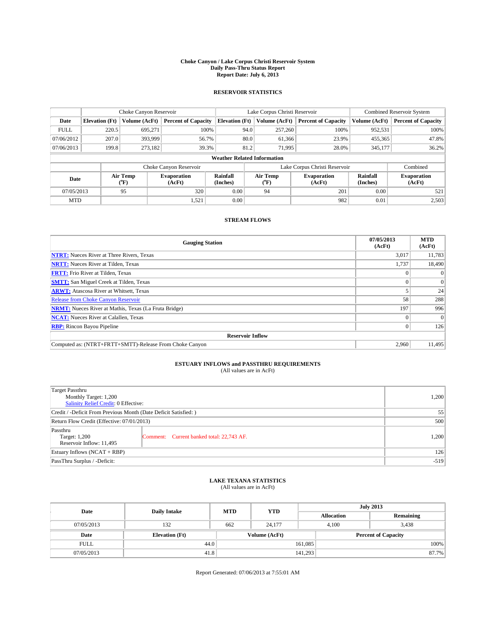#### **Choke Canyon / Lake Corpus Christi Reservoir System Daily Pass-Thru Status Report Report Date: July 6, 2013**

### **RESERVOIR STATISTICS**

|             | Choke Canyon Reservoir |                  |                            |                                    | Lake Corpus Christi Reservoir |                  |                              |                      | <b>Combined Reservoir System</b> |  |  |
|-------------|------------------------|------------------|----------------------------|------------------------------------|-------------------------------|------------------|------------------------------|----------------------|----------------------------------|--|--|
| Date        | <b>Elevation</b> (Ft)  | Volume (AcFt)    | <b>Percent of Capacity</b> | <b>Elevation (Ft)</b>              |                               | Volume (AcFt)    | <b>Percent of Capacity</b>   | Volume (AcFt)        | Percent of Capacity              |  |  |
| <b>FULL</b> | 220.5                  | 695,271          | 100%                       |                                    | 94.0                          | 257,260          | 100%                         | 952,531              | 100%                             |  |  |
| 07/06/2012  | 207.0                  | 393,999          | 56.7%                      |                                    | 80.0                          | 61,366           | 23.9%                        | 455,365              | 47.8%                            |  |  |
| 07/06/2013  | 199.8                  | 273,182          | 39.3%                      |                                    | 81.2                          | 71,995           | 28.0%                        | 345,177              | $36.2\%$                         |  |  |
|             |                        |                  |                            | <b>Weather Related Information</b> |                               |                  |                              |                      |                                  |  |  |
|             |                        |                  | Choke Canyon Reservoir     |                                    | Lake Corpus Christi Reservoir |                  |                              |                      | Combined                         |  |  |
| Date        |                        | Air Temp<br>(°F) | Evaporation<br>(AcFt)      | Rainfall<br>(Inches)               |                               | Air Temp<br>("F) | <b>Evaporation</b><br>(AcFt) | Rainfall<br>(Inches) | <b>Evaporation</b><br>(AcFt)     |  |  |
| 07/05/2013  |                        | 95               | 320                        | 0.00                               |                               | 94               | 201                          | 0.00                 | 521                              |  |  |
| <b>MTD</b>  |                        |                  | 1,521                      | 0.00                               |                               |                  | 982                          | 0.01                 | 2,503                            |  |  |

## **STREAM FLOWS**

| <b>Gauging Station</b>                                       | 07/05/2013<br>(AcFt) | <b>MTD</b><br>(AcFt) |
|--------------------------------------------------------------|----------------------|----------------------|
| <b>NTRT:</b> Nueces River at Three Rivers, Texas             | 3,017                | 11,783               |
| <b>NRTT:</b> Nueces River at Tilden, Texas                   | 1,737                | 18,490               |
| <b>FRTT:</b> Frio River at Tilden, Texas                     |                      | $\Omega$             |
| <b>SMTT:</b> San Miguel Creek at Tilden, Texas               |                      | $\overline{0}$       |
| <b>ARWT:</b> Atascosa River at Whitsett, Texas               |                      | 24                   |
| <b>Release from Choke Canyon Reservoir</b>                   | 58                   | 288                  |
| <b>NRMT:</b> Nueces River at Mathis, Texas (La Fruta Bridge) | 197                  | 996                  |
| <b>NCAT:</b> Nueces River at Calallen, Texas                 |                      | $\Omega$             |
| <b>RBP:</b> Rincon Bayou Pipeline                            |                      | 126                  |
| <b>Reservoir Inflow</b>                                      |                      |                      |
| Computed as: (NTRT+FRTT+SMTT)-Release From Choke Canyon      | 2,960                | 11,495               |

# **ESTUARY INFLOWS and PASSTHRU REQUIREMENTS**<br>(All values are in AcFt)

| Target Passthru<br>Monthly Target: 1,200<br>Salinity Relief Credit: 0 Effective: |                                           |       |  |  |
|----------------------------------------------------------------------------------|-------------------------------------------|-------|--|--|
| Credit / -Deficit From Previous Month (Date Deficit Satisfied: )                 |                                           |       |  |  |
| Return Flow Credit (Effective: 07/01/2013)                                       |                                           |       |  |  |
| Passthru<br>Target: 1,200<br>Reservoir Inflow: 11,495                            | Comment: Current banked total: 22,743 AF. | 1,200 |  |  |
| Estuary Inflows (NCAT + RBP)                                                     |                                           |       |  |  |
| PassThru Surplus / -Deficit:                                                     | $-519$                                    |       |  |  |

## **LAKE TEXANA STATISTICS** (All values are in AcFt)

| Date        | <b>Daily Intake</b>   | <b>MTD</b> | <b>YTD</b>    | <b>July 2013</b>  |                            |           |       |
|-------------|-----------------------|------------|---------------|-------------------|----------------------------|-----------|-------|
|             |                       |            |               | <b>Allocation</b> |                            | Remaining |       |
| 07/05/2013  | 132                   | 662        | 24,177        |                   | 3,438<br>4.100             |           |       |
| Date        | <b>Elevation</b> (Ft) |            | Volume (AcFt) |                   | <b>Percent of Capacity</b> |           |       |
| <b>FULL</b> | 44.0                  |            |               | 161,085           |                            |           | 100%  |
| 07/05/2013  | 41.8                  |            |               | 141,293           |                            |           | 87.7% |

Report Generated: 07/06/2013 at 7:55:01 AM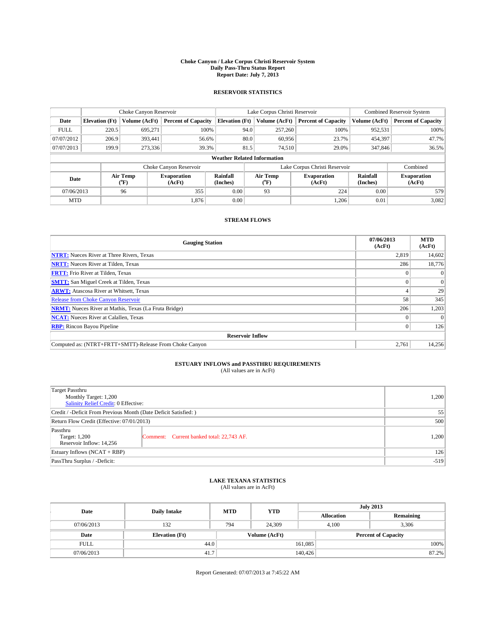#### **Choke Canyon / Lake Corpus Christi Reservoir System Daily Pass-Thru Status Report Report Date: July 7, 2013**

### **RESERVOIR STATISTICS**

|             |                                    | Choke Canyon Reservoir |                              | Lake Corpus Christi Reservoir |                  |                              |                               | <b>Combined Reservoir System</b> |                              |  |
|-------------|------------------------------------|------------------------|------------------------------|-------------------------------|------------------|------------------------------|-------------------------------|----------------------------------|------------------------------|--|
| Date        | <b>Elevation</b> (Ft)              | Volume (AcFt)          | <b>Percent of Capacity</b>   | <b>Elevation (Ft)</b>         | Volume (AcFt)    |                              | <b>Percent of Capacity</b>    | Volume (AcFt)                    | <b>Percent of Capacity</b>   |  |
| <b>FULL</b> | 220.5                              | 695,271                | 100%                         |                               | 257,260<br>94.0  |                              | 100%                          | 952,531                          | 100%                         |  |
| 07/07/2012  | 206.9                              | 393,441                | 56.6%                        |                               | 80.0<br>60,956   |                              | 23.7%                         | 454,397                          | 47.7%                        |  |
| 07/07/2013  | 199.9                              | 273,336                | 39.3%                        |                               | 81.5<br>74,510   |                              | 29.0%                         | 347,846                          | 36.5%                        |  |
|             | <b>Weather Related Information</b> |                        |                              |                               |                  |                              |                               |                                  |                              |  |
|             |                                    |                        | Choke Canyon Reservoir       |                               |                  |                              | Lake Corpus Christi Reservoir |                                  | Combined                     |  |
| Date        |                                    | Air Temp<br>(°F)       | <b>Evaporation</b><br>(AcFt) | Rainfall<br>(Inches)          | Air Temp<br>("F) | <b>Evaporation</b><br>(AcFt) |                               | Rainfall<br>(Inches)             | <b>Evaporation</b><br>(AcFt) |  |
| 07/06/2013  |                                    | 96                     | 355                          | 0.00                          | 93               |                              | 224                           | 0.00                             | 579                          |  |
| <b>MTD</b>  |                                    |                        | 1,876                        | 0.00                          |                  |                              | 1,206                         | 0.01                             | 3,082                        |  |

## **STREAM FLOWS**

| <b>Gauging Station</b>                                       | 07/06/2013<br>(AcFt) | <b>MTD</b><br>(AcFt) |  |  |  |  |
|--------------------------------------------------------------|----------------------|----------------------|--|--|--|--|
| <b>NTRT:</b> Nueces River at Three Rivers, Texas             | 2,819                | 14,602               |  |  |  |  |
| <b>NRTT:</b> Nueces River at Tilden, Texas                   | 286                  | 18,776               |  |  |  |  |
| <b>FRTT:</b> Frio River at Tilden, Texas                     |                      | $\Omega$             |  |  |  |  |
| <b>SMTT:</b> San Miguel Creek at Tilden, Texas               |                      | $\Omega$             |  |  |  |  |
| <b>ARWT:</b> Atascosa River at Whitsett, Texas               |                      | 29                   |  |  |  |  |
| <b>Release from Choke Canyon Reservoir</b>                   | 58                   | 345                  |  |  |  |  |
| <b>NRMT:</b> Nueces River at Mathis, Texas (La Fruta Bridge) | 206                  | 1,203                |  |  |  |  |
| <b>NCAT:</b> Nueces River at Calallen, Texas                 |                      |                      |  |  |  |  |
| <b>RBP:</b> Rincon Bayou Pipeline                            |                      | 126                  |  |  |  |  |
| <b>Reservoir Inflow</b>                                      |                      |                      |  |  |  |  |
| Computed as: (NTRT+FRTT+SMTT)-Release From Choke Canyon      | 2,761                | 14,256               |  |  |  |  |

# **ESTUARY INFLOWS and PASSTHRU REQUIREMENTS**<br>(All values are in AcFt)

| Target Passthru<br>Monthly Target: 1,200<br>Salinity Relief Credit: 0 Effective: | 1,200                                     |       |
|----------------------------------------------------------------------------------|-------------------------------------------|-------|
| Credit / -Deficit From Previous Month (Date Deficit Satisfied: )                 | 55                                        |       |
| Return Flow Credit (Effective: 07/01/2013)                                       | 500                                       |       |
| Passthru<br>Target: 1,200<br>Reservoir Inflow: 14.256                            | Comment: Current banked total: 22,743 AF. | 1,200 |
| Estuary Inflows (NCAT + RBP)                                                     | 126                                       |       |
| PassThru Surplus / -Deficit:                                                     | $-519$                                    |       |

## **LAKE TEXANA STATISTICS** (All values are in AcFt)

| Date        | <b>Daily Intake</b>   | <b>MTD</b> | <b>YTD</b>    | <b>July 2013</b>  |                |                            |  |
|-------------|-----------------------|------------|---------------|-------------------|----------------|----------------------------|--|
|             |                       |            |               | <b>Allocation</b> |                | Remaining                  |  |
| 07/06/2013  | 132                   | 794        | 24.309        |                   | 3,306<br>4.100 |                            |  |
| Date        | <b>Elevation</b> (Ft) |            | Volume (AcFt) |                   |                | <b>Percent of Capacity</b> |  |
| <b>FULL</b> | 44.0                  |            |               | 161,085           |                | 100%                       |  |
| 07/06/2013  | 41.7                  |            |               | 140,426           |                | 87.2%                      |  |

Report Generated: 07/07/2013 at 7:45:22 AM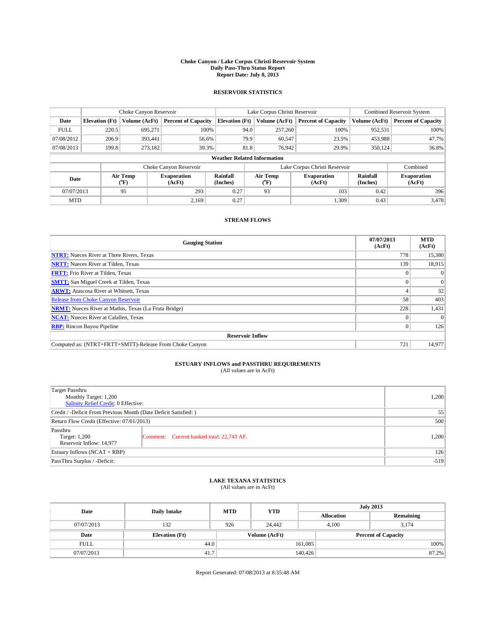#### **Choke Canyon / Lake Corpus Christi Reservoir System Daily Pass-Thru Status Report Report Date: July 8, 2013**

### **RESERVOIR STATISTICS**

|             |                                    | Choke Canyon Reservoir |                              |                       | Lake Corpus Christi Reservoir | <b>Combined Reservoir System</b> |                      |                              |  |
|-------------|------------------------------------|------------------------|------------------------------|-----------------------|-------------------------------|----------------------------------|----------------------|------------------------------|--|
| Date        | <b>Elevation</b> (Ft)              | Volume (AcFt)          | <b>Percent of Capacity</b>   | <b>Elevation (Ft)</b> | Volume (AcFt)                 | <b>Percent of Capacity</b>       | Volume (AcFt)        | <b>Percent of Capacity</b>   |  |
| <b>FULL</b> | 220.5                              | 695,271                | 100%                         | 94.0                  | 257,260                       | 100%                             | 952,531              | 100%                         |  |
| 07/08/2012  | 206.9                              | 393,441                | 56.6%                        | 79.9                  | 60,547                        | 23.5%                            | 453,988              | 47.7%                        |  |
| 07/08/2013  | 199.8                              | 273,182                | 39.3%                        | 81.8                  | 76.942                        | 29.9%                            | 350,124              | 36.8%                        |  |
|             | <b>Weather Related Information</b> |                        |                              |                       |                               |                                  |                      |                              |  |
|             |                                    |                        | Choke Canyon Reservoir       |                       |                               | Lake Corpus Christi Reservoir    |                      | Combined                     |  |
| Date        |                                    | Air Temp<br>(°F)       | <b>Evaporation</b><br>(AcFt) | Rainfall<br>(Inches)  | Air Temp<br>("F)              | <b>Evaporation</b><br>(AcFt)     | Rainfall<br>(Inches) | <b>Evaporation</b><br>(AcFt) |  |
| 07/07/2013  |                                    | 95                     | 293                          | 0.27                  | 93                            | 103                              | 0.42                 | 396                          |  |
| <b>MTD</b>  |                                    |                        | 2.169                        | 0.27                  |                               | 1,309                            | 0.43                 | 3,478                        |  |

## **STREAM FLOWS**

| <b>Gauging Station</b>                                       | 07/07/2013<br>(AcFt) | <b>MTD</b><br>(AcFt) |  |  |  |  |
|--------------------------------------------------------------|----------------------|----------------------|--|--|--|--|
| <b>NTRT:</b> Nueces River at Three Rivers, Texas             | 778                  | 15,380               |  |  |  |  |
| <b>NRTT:</b> Nueces River at Tilden, Texas                   | 139                  | 18,915               |  |  |  |  |
| <b>FRTT:</b> Frio River at Tilden, Texas                     |                      |                      |  |  |  |  |
| <b>SMTT:</b> San Miguel Creek at Tilden, Texas               |                      | $\Omega$             |  |  |  |  |
| <b>ARWT:</b> Atascosa River at Whitsett, Texas               |                      | 32                   |  |  |  |  |
| <b>Release from Choke Canyon Reservoir</b>                   | 58                   | 403                  |  |  |  |  |
| <b>NRMT:</b> Nueces River at Mathis, Texas (La Fruta Bridge) | 228                  | 1,431                |  |  |  |  |
| <b>NCAT:</b> Nueces River at Calallen, Texas                 |                      |                      |  |  |  |  |
| <b>RBP:</b> Rincon Bayou Pipeline                            | $\Omega$             | 126                  |  |  |  |  |
| <b>Reservoir Inflow</b>                                      |                      |                      |  |  |  |  |
| Computed as: (NTRT+FRTT+SMTT)-Release From Choke Canyon      | 721                  | 14,977               |  |  |  |  |

# **ESTUARY INFLOWS and PASSTHRU REQUIREMENTS**<br>(All values are in AcFt)

| Target Passthru<br>Monthly Target: 1,200<br>Salinity Relief Credit: 0 Effective: |                                           |       |  |  |
|----------------------------------------------------------------------------------|-------------------------------------------|-------|--|--|
| Credit / -Deficit From Previous Month (Date Deficit Satisfied: )                 |                                           |       |  |  |
| Return Flow Credit (Effective: 07/01/2013)                                       |                                           |       |  |  |
| Passthru<br>Target: 1,200<br>Reservoir Inflow: 14,977                            | Comment: Current banked total: 22,743 AF. | 1,200 |  |  |
| Estuary Inflows (NCAT + RBP)                                                     |                                           |       |  |  |
| PassThru Surplus / -Deficit:                                                     | $-519$                                    |       |  |  |

## **LAKE TEXANA STATISTICS** (All values are in AcFt)

| Date        | <b>Daily Intake</b>   | <b>MTD</b> | <b>YTD</b>    | <b>July 2013</b>           |  |           |  |
|-------------|-----------------------|------------|---------------|----------------------------|--|-----------|--|
|             |                       |            |               | <b>Allocation</b>          |  | Remaining |  |
| 07/07/2013  | 132                   | 926        | 24,442        | 4.100                      |  | 3.174     |  |
| Date        | <b>Elevation</b> (Ft) |            | Volume (AcFt) | <b>Percent of Capacity</b> |  |           |  |
| <b>FULL</b> | 44.0                  |            |               | 161,085                    |  | 100%      |  |
| 07/07/2013  | 41.7                  |            |               | 140,426                    |  | 87.2%     |  |

Report Generated: 07/08/2013 at 8:35:48 AM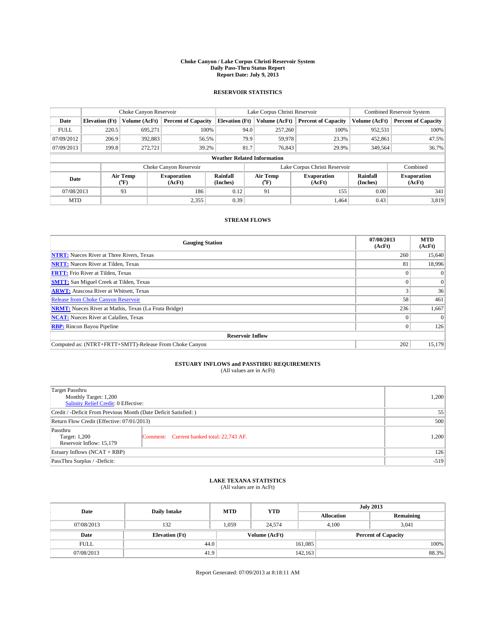#### **Choke Canyon / Lake Corpus Christi Reservoir System Daily Pass-Thru Status Report Report Date: July 9, 2013**

### **RESERVOIR STATISTICS**

|             |                                    | Choke Canyon Reservoir |                              |                       | Lake Corpus Christi Reservoir | <b>Combined Reservoir System</b> |                      |                              |  |
|-------------|------------------------------------|------------------------|------------------------------|-----------------------|-------------------------------|----------------------------------|----------------------|------------------------------|--|
| Date        | <b>Elevation</b> (Ft)              | Volume (AcFt)          | <b>Percent of Capacity</b>   | <b>Elevation (Ft)</b> | Volume (AcFt)                 | <b>Percent of Capacity</b>       | Volume (AcFt)        | <b>Percent of Capacity</b>   |  |
| <b>FULL</b> | 220.5                              | 695,271                | 100%                         |                       | 257,260<br>94.0               | 100%                             | 952,531              | 100%                         |  |
| 07/09/2012  | 206.9                              | 392,883                | 56.5%                        |                       | 79.9<br>59,978                | 23.3%                            | 452,861              | 47.5%                        |  |
| 07/09/2013  | 199.8                              | 272.721                | 39.2%                        |                       | 81.7<br>76.843                | 29.9%                            | 349,564              | 36.7%                        |  |
|             | <b>Weather Related Information</b> |                        |                              |                       |                               |                                  |                      |                              |  |
|             |                                    |                        | Choke Canyon Reservoir       |                       |                               | Lake Corpus Christi Reservoir    |                      | Combined                     |  |
| Date        |                                    | Air Temp<br>(°F)       | <b>Evaporation</b><br>(AcFt) | Rainfall<br>(Inches)  | Air Temp<br>("F)              | <b>Evaporation</b><br>(AcFt)     | Rainfall<br>(Inches) | <b>Evaporation</b><br>(AcFt) |  |
| 07/08/2013  |                                    | 93                     | 186                          | 0.12                  | 91                            | 155                              | 0.00                 | 341                          |  |
| <b>MTD</b>  |                                    |                        | 2,355                        | 0.39                  |                               | 1.464                            | 0.43                 | 3,819                        |  |

## **STREAM FLOWS**

| <b>Gauging Station</b>                                       | 07/08/2013<br>(AcFt) | <b>MTD</b><br>(AcFt) |  |  |  |  |
|--------------------------------------------------------------|----------------------|----------------------|--|--|--|--|
| <b>NTRT:</b> Nueces River at Three Rivers, Texas             | 260                  | 15,640               |  |  |  |  |
| <b>NRTT:</b> Nueces River at Tilden, Texas                   | 81                   | 18,996               |  |  |  |  |
| <b>FRTT:</b> Frio River at Tilden, Texas                     |                      | $\Omega$             |  |  |  |  |
| <b>SMTT:</b> San Miguel Creek at Tilden, Texas               |                      | $\Omega$             |  |  |  |  |
| <b>ARWT:</b> Atascosa River at Whitsett, Texas               |                      | 36                   |  |  |  |  |
| <b>Release from Choke Canyon Reservoir</b>                   | 58                   | 461                  |  |  |  |  |
| <b>NRMT:</b> Nueces River at Mathis, Texas (La Fruta Bridge) | 236                  | 1,667                |  |  |  |  |
| <b>NCAT:</b> Nueces River at Calallen, Texas                 |                      |                      |  |  |  |  |
| <b>RBP:</b> Rincon Bayou Pipeline                            | $\Omega$             | 126                  |  |  |  |  |
| <b>Reservoir Inflow</b>                                      |                      |                      |  |  |  |  |
| Computed as: (NTRT+FRTT+SMTT)-Release From Choke Canyon      | 202                  | 15,179               |  |  |  |  |

# **ESTUARY INFLOWS and PASSTHRU REQUIREMENTS**<br>(All values are in AcFt)

| Target Passthru<br>Monthly Target: 1,200<br>Salinity Relief Credit: 0 Effective: |                                           |       |  |  |
|----------------------------------------------------------------------------------|-------------------------------------------|-------|--|--|
| Credit / -Deficit From Previous Month (Date Deficit Satisfied: )                 |                                           |       |  |  |
| Return Flow Credit (Effective: 07/01/2013)                                       |                                           |       |  |  |
| Passthru<br>Target: 1,200<br>Reservoir Inflow: 15,179                            | Comment: Current banked total: 22,743 AF. | 1,200 |  |  |
| Estuary Inflows (NCAT + RBP)                                                     |                                           |       |  |  |
| PassThru Surplus / -Deficit:                                                     | $-519$                                    |       |  |  |

## **LAKE TEXANA STATISTICS** (All values are in AcFt)

| Date        | <b>Daily Intake</b>   | <b>MTD</b>    | <b>YTD</b> | <b>July 2013</b>           |                |           |  |
|-------------|-----------------------|---------------|------------|----------------------------|----------------|-----------|--|
|             |                       |               |            | <b>Allocation</b>          |                | Remaining |  |
| 07/08/2013  | 132                   | 1.059         | 24.574     |                            | 3.041<br>4.100 |           |  |
| Date        | <b>Elevation</b> (Ft) | Volume (AcFt) |            | <b>Percent of Capacity</b> |                |           |  |
| <b>FULL</b> | 44.0                  |               |            | 161,085                    |                | 100%      |  |
| 07/08/2013  | 41.9                  |               |            | 142,163                    |                | 88.3%     |  |

Report Generated: 07/09/2013 at 8:18:11 AM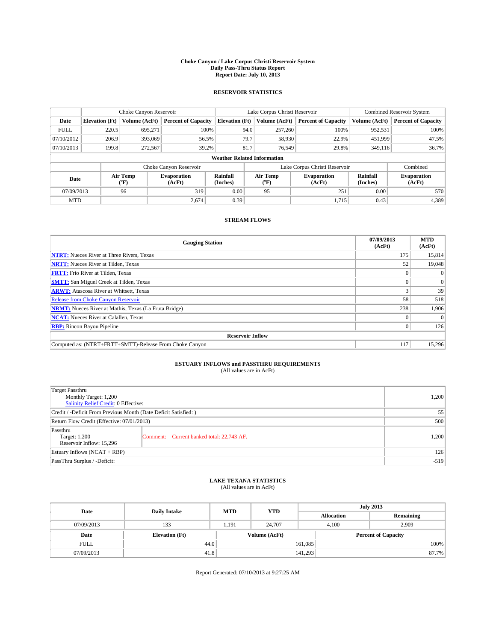#### **Choke Canyon / Lake Corpus Christi Reservoir System Daily Pass-Thru Status Report Report Date: July 10, 2013**

### **RESERVOIR STATISTICS**

|             | Choke Canyon Reservoir |                  |                            |                                    | Lake Corpus Christi Reservoir                    | <b>Combined Reservoir System</b> |                      |                              |
|-------------|------------------------|------------------|----------------------------|------------------------------------|--------------------------------------------------|----------------------------------|----------------------|------------------------------|
| Date        | <b>Elevation</b> (Ft)  | Volume (AcFt)    | <b>Percent of Capacity</b> | <b>Elevation (Ft)</b>              | Volume (AcFt)                                    | <b>Percent of Capacity</b>       | Volume (AcFt)        | Percent of Capacity          |
| <b>FULL</b> | 220.5                  | 695,271          | 100%                       | 94.0                               | 257,260                                          | 100%                             | 952,531              | 100%                         |
| 07/10/2012  | 206.9                  | 393,069          | 56.5%                      | 79.7                               | 58,930                                           | 22.9%                            | 451,999              | 47.5%                        |
| 07/10/2013  | 199.8                  | 272,567          | 39.2%                      | 81.7                               | 76.549                                           | 29.8%                            | 349,116              | $36.7\%$                     |
|             |                        |                  |                            | <b>Weather Related Information</b> |                                                  |                                  |                      |                              |
|             |                        |                  | Choke Canyon Reservoir     |                                    |                                                  | Lake Corpus Christi Reservoir    |                      | Combined                     |
| Date        |                        | Air Temp<br>(°F) | Evaporation<br>(AcFt)      | Rainfall<br>(Inches)               | Air Temp<br><b>Evaporation</b><br>(AcFt)<br>("F) |                                  | Rainfall<br>(Inches) | <b>Evaporation</b><br>(AcFt) |
| 07/09/2013  |                        | 96               | 319                        | 0.00                               | 95                                               | 251                              | 0.00                 | 570                          |
| <b>MTD</b>  |                        |                  | 2.674                      | 0.39                               |                                                  | 1.715                            | 0.43                 | 4,389                        |

## **STREAM FLOWS**

| <b>Gauging Station</b>                                       | 07/09/2013<br>(AcFt) | <b>MTD</b><br>(AcFt) |  |  |  |  |
|--------------------------------------------------------------|----------------------|----------------------|--|--|--|--|
| <b>NTRT:</b> Nueces River at Three Rivers, Texas             | 175                  | 15,814               |  |  |  |  |
| <b>NRTT:</b> Nueces River at Tilden, Texas                   | 52                   | 19,048               |  |  |  |  |
| <b>FRTT:</b> Frio River at Tilden, Texas                     |                      | $\Omega$             |  |  |  |  |
| <b>SMTT:</b> San Miguel Creek at Tilden, Texas               |                      | $\Omega$             |  |  |  |  |
| <b>ARWT:</b> Atascosa River at Whitsett, Texas               |                      | 39                   |  |  |  |  |
| <b>Release from Choke Canyon Reservoir</b>                   | 58                   | 518                  |  |  |  |  |
| <b>NRMT:</b> Nueces River at Mathis, Texas (La Fruta Bridge) | 238                  | 1,906                |  |  |  |  |
| <b>NCAT:</b> Nueces River at Calallen, Texas                 |                      | $\Omega$             |  |  |  |  |
| <b>RBP:</b> Rincon Bayou Pipeline                            |                      | 126                  |  |  |  |  |
| <b>Reservoir Inflow</b>                                      |                      |                      |  |  |  |  |
| Computed as: (NTRT+FRTT+SMTT)-Release From Choke Canyon      | 117                  | 15,296               |  |  |  |  |

# **ESTUARY INFLOWS and PASSTHRU REQUIREMENTS**<br>(All values are in AcFt)

| Target Passthru<br>Monthly Target: 1,200<br>Salinity Relief Credit: 0 Effective: | 1,200                                     |       |  |  |
|----------------------------------------------------------------------------------|-------------------------------------------|-------|--|--|
| Credit / -Deficit From Previous Month (Date Deficit Satisfied: )                 |                                           |       |  |  |
| Return Flow Credit (Effective: 07/01/2013)                                       |                                           |       |  |  |
| Passthru<br>Target: 1,200<br>Reservoir Inflow: 15,296                            | Comment: Current banked total: 22,743 AF. | 1,200 |  |  |
| Estuary Inflows (NCAT + RBP)                                                     | 126                                       |       |  |  |
| PassThru Surplus / -Deficit:                                                     | $-519$                                    |       |  |  |

## **LAKE TEXANA STATISTICS** (All values are in AcFt)

| Date        | <b>Daily Intake</b>   | <b>MTD</b> | <b>YTD</b>    | <b>July 2013</b>  |                            |           |  |
|-------------|-----------------------|------------|---------------|-------------------|----------------------------|-----------|--|
|             |                       |            |               | <b>Allocation</b> |                            | Remaining |  |
| 07/09/2013  | 133                   | 1.191      | 24,707        |                   | 2.909<br>4.100             |           |  |
| Date        | <b>Elevation</b> (Ft) |            | Volume (AcFt) |                   | <b>Percent of Capacity</b> |           |  |
| <b>FULL</b> | 44.0                  |            |               | 161,085           |                            | 100%      |  |
| 07/09/2013  | 41.8                  |            |               | 141,293           |                            | 87.7%     |  |

Report Generated: 07/10/2013 at 9:27:25 AM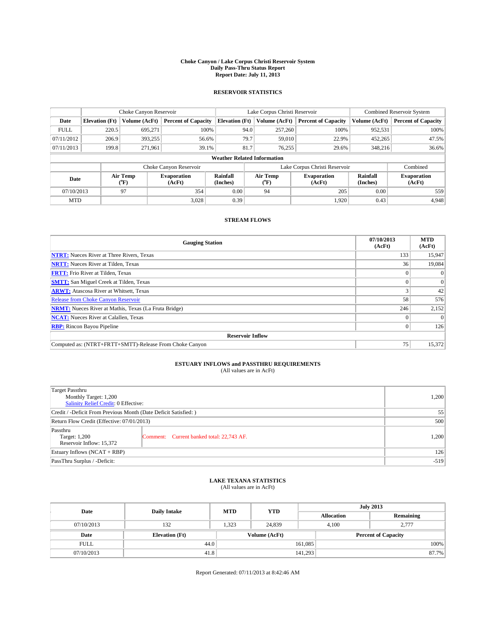#### **Choke Canyon / Lake Corpus Christi Reservoir System Daily Pass-Thru Status Report Report Date: July 11, 2013**

### **RESERVOIR STATISTICS**

|                          |                       | Choke Canyon Reservoir       |                            |                                    | Lake Corpus Christi Reservoir | <b>Combined Reservoir System</b> |                              |                            |
|--------------------------|-----------------------|------------------------------|----------------------------|------------------------------------|-------------------------------|----------------------------------|------------------------------|----------------------------|
| Date                     | <b>Elevation</b> (Ft) | Volume (AcFt)                | <b>Percent of Capacity</b> | <b>Elevation (Ft)</b>              | Volume (AcFt)                 | <b>Percent of Capacity</b>       | Volume (AcFt)                | <b>Percent of Capacity</b> |
| <b>FULL</b>              | 220.5                 | 695,271                      | 100%                       | 94.0                               | 257,260                       | 100%                             | 952,531                      | 100%                       |
| 07/11/2012               | 206.9                 | 393,255                      | 56.6%                      | 79.7                               | 59,010                        | 22.9%                            | 452,265                      | 47.5%                      |
| 07/11/2013               | 199.8                 | 271.961                      | 39.1%                      | 81.7                               | 76.255                        | 29.6%                            | 348,216                      | 36.6%                      |
|                          |                       |                              |                            | <b>Weather Related Information</b> |                               |                                  |                              |                            |
|                          |                       |                              | Choke Canyon Reservoir     |                                    |                               | Lake Corpus Christi Reservoir    |                              | Combined                   |
| Air Temp<br>Date<br>(°F) |                       | <b>Evaporation</b><br>(AcFt) | Rainfall<br>(Inches)       | Air Temp<br>(°F)                   | <b>Evaporation</b><br>(AcFt)  | Rainfall<br>(Inches)             | <b>Evaporation</b><br>(AcFt) |                            |
| 07/10/2013               |                       | 97                           | 354                        | 0.00                               | 94                            | 205                              | 0.00                         | 559                        |
| <b>MTD</b>               |                       |                              | 3.028                      | 0.39                               |                               | 1.920                            | 0.43                         | 4,948                      |

## **STREAM FLOWS**

| <b>Gauging Station</b>                                       | 07/10/2013<br>(AcFt) | <b>MTD</b><br>(AcFt) |  |  |  |  |
|--------------------------------------------------------------|----------------------|----------------------|--|--|--|--|
| <b>NTRT:</b> Nueces River at Three Rivers, Texas             | 133                  | 15,947               |  |  |  |  |
| <b>NRTT:</b> Nueces River at Tilden, Texas                   | 36                   | 19,084               |  |  |  |  |
| <b>FRTT:</b> Frio River at Tilden, Texas                     |                      |                      |  |  |  |  |
| <b>SMTT:</b> San Miguel Creek at Tilden, Texas               |                      | $\Omega$             |  |  |  |  |
| <b>ARWT:</b> Atascosa River at Whitsett, Texas               |                      | 42                   |  |  |  |  |
| <b>Release from Choke Canyon Reservoir</b>                   | 58                   | 576                  |  |  |  |  |
| <b>NRMT:</b> Nueces River at Mathis, Texas (La Fruta Bridge) | 246                  | 2,152                |  |  |  |  |
| <b>NCAT:</b> Nueces River at Calallen, Texas                 |                      | $\Omega$             |  |  |  |  |
| <b>RBP:</b> Rincon Bayou Pipeline                            | $\Omega$             | 126                  |  |  |  |  |
| <b>Reservoir Inflow</b>                                      |                      |                      |  |  |  |  |
| Computed as: (NTRT+FRTT+SMTT)-Release From Choke Canyon      | 75                   | 15,372               |  |  |  |  |

# **ESTUARY INFLOWS and PASSTHRU REQUIREMENTS**<br>(All values are in AcFt)

| Target Passthru<br>Monthly Target: 1,200<br>Salinity Relief Credit: 0 Effective: |                                           |       |  |  |
|----------------------------------------------------------------------------------|-------------------------------------------|-------|--|--|
| Credit / -Deficit From Previous Month (Date Deficit Satisfied: )                 |                                           |       |  |  |
| Return Flow Credit (Effective: 07/01/2013)                                       |                                           |       |  |  |
| Passthru<br>Target: 1,200<br>Reservoir Inflow: 15,372                            | Comment: Current banked total: 22,743 AF. | 1,200 |  |  |
| Estuary Inflows (NCAT + RBP)                                                     | 126                                       |       |  |  |
| PassThru Surplus / -Deficit:                                                     | $-519$                                    |       |  |  |

## **LAKE TEXANA STATISTICS** (All values are in AcFt)

| Date        | <b>Daily Intake</b>   | <b>MTD</b> | <b>YTD</b> | <b>July 2013</b>  |                |                            |  |  |
|-------------|-----------------------|------------|------------|-------------------|----------------|----------------------------|--|--|
|             |                       |            |            | <b>Allocation</b> |                | Remaining                  |  |  |
| 07/10/2013  | 132                   | 1.323      | 24.839     |                   | 2.777<br>4.100 |                            |  |  |
| Date        | <b>Elevation</b> (Ft) |            |            | Volume (AcFt)     |                | <b>Percent of Capacity</b> |  |  |
| <b>FULL</b> | 44.0                  |            |            | 161,085           |                | 100%                       |  |  |
| 07/10/2013  | 41.8                  |            |            | 141,293           |                | 87.7%                      |  |  |

Report Generated: 07/11/2013 at 8:42:46 AM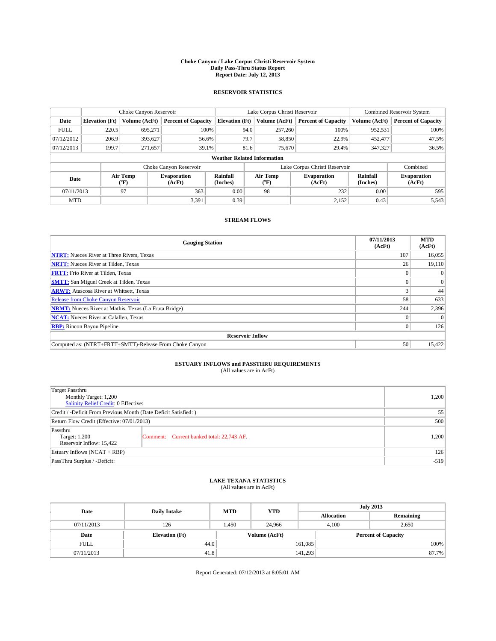#### **Choke Canyon / Lake Corpus Christi Reservoir System Daily Pass-Thru Status Report Report Date: July 12, 2013**

### **RESERVOIR STATISTICS**

|             |                       | Choke Canyon Reservoir |                              |                                    | Lake Corpus Christi Reservoir    | Combined Reservoir System    |               |                              |
|-------------|-----------------------|------------------------|------------------------------|------------------------------------|----------------------------------|------------------------------|---------------|------------------------------|
| Date        | <b>Elevation</b> (Ft) | Volume (AcFt)          | <b>Percent of Capacity</b>   | <b>Elevation (Ft)</b>              | Volume (AcFt)                    | <b>Percent of Capacity</b>   | Volume (AcFt) | <b>Percent of Capacity</b>   |
| <b>FULL</b> | 220.5                 | 695,271                | 100%                         | 94.0                               | 257,260                          | 100%                         | 952,531       | 100%                         |
| 07/12/2012  | 206.9                 | 393,627                | 56.6%                        | 79.7                               | 58,850                           | 22.9%                        | 452,477       | 47.5%                        |
| 07/12/2013  | 199.7                 | 271,657                | 39.1%                        |                                    | 81.6<br>75,670                   | 29.4%                        | 347,327       | 36.5%                        |
|             |                       |                        |                              | <b>Weather Related Information</b> |                                  |                              |               |                              |
|             |                       |                        | Choke Canyon Reservoir       |                                    | Lake Corpus Christi Reservoir    |                              | Combined      |                              |
| Date        |                       | Air Temp<br>(°F)       | <b>Evaporation</b><br>(AcFt) | Rainfall<br>(Inches)               | Air Temp<br>$(^{\circ}\text{F})$ | <b>Evaporation</b><br>(AcFt) |               | <b>Evaporation</b><br>(AcFt) |
| 07/11/2013  |                       | 97                     | 363                          | 0.00                               | 98                               | 232                          | 0.00          | 595                          |
| <b>MTD</b>  |                       |                        | 3,391                        | 0.39                               |                                  | 2,152                        | 0.43          | 5,543                        |

## **STREAM FLOWS**

| <b>Gauging Station</b>                                       | 07/11/2013<br>(AcFt) | <b>MTD</b><br>(AcFt) |  |  |  |
|--------------------------------------------------------------|----------------------|----------------------|--|--|--|
| <b>NTRT:</b> Nueces River at Three Rivers, Texas             | 107                  | 16,055               |  |  |  |
| <b>NRTT:</b> Nueces River at Tilden, Texas                   | 26                   | 19,110               |  |  |  |
| <b>FRTT:</b> Frio River at Tilden, Texas                     |                      | $\Omega$             |  |  |  |
| <b>SMTT:</b> San Miguel Creek at Tilden, Texas               |                      | $\Omega$             |  |  |  |
| <b>ARWT:</b> Atascosa River at Whitsett, Texas               |                      | 44                   |  |  |  |
| <b>Release from Choke Canyon Reservoir</b>                   | 58                   | 633                  |  |  |  |
| <b>NRMT:</b> Nueces River at Mathis, Texas (La Fruta Bridge) | 244                  | 2,396                |  |  |  |
| <b>NCAT:</b> Nueces River at Calallen, Texas                 |                      | $\Omega$             |  |  |  |
| <b>RBP:</b> Rincon Bayou Pipeline                            | $\Omega$             | 126                  |  |  |  |
| <b>Reservoir Inflow</b>                                      |                      |                      |  |  |  |
| Computed as: (NTRT+FRTT+SMTT)-Release From Choke Canyon      | 50                   | 15,422               |  |  |  |

# **ESTUARY INFLOWS and PASSTHRU REQUIREMENTS**<br>(All values are in AcFt)

| Target Passthru<br>Monthly Target: 1,200<br>Salinity Relief Credit: 0 Effective: |                                           |       |  |  |
|----------------------------------------------------------------------------------|-------------------------------------------|-------|--|--|
| Credit / -Deficit From Previous Month (Date Deficit Satisfied: )                 |                                           |       |  |  |
| Return Flow Credit (Effective: 07/01/2013)                                       |                                           |       |  |  |
| Passthru<br>Target: 1,200<br>Reservoir Inflow: 15,422                            | Comment: Current banked total: 22,743 AF. | 1,200 |  |  |
| Estuary Inflows (NCAT + RBP)                                                     | 126                                       |       |  |  |
| PassThru Surplus / -Deficit:                                                     | $-519$                                    |       |  |  |

## **LAKE TEXANA STATISTICS** (All values are in AcFt)

| Date        | <b>Daily Intake</b>   | <b>MTD</b>    | <b>YTD</b> | <b>July 2013</b>  |                            |           |  |
|-------------|-----------------------|---------------|------------|-------------------|----------------------------|-----------|--|
|             |                       |               |            | <b>Allocation</b> |                            | Remaining |  |
| 07/11/2013  | 126                   | 1.450         | 24,966     |                   | 2,650<br>4.100             |           |  |
| Date        | <b>Elevation</b> (Ft) | Volume (AcFt) |            |                   | <b>Percent of Capacity</b> |           |  |
| <b>FULL</b> | 44.0                  |               |            | 161,085           |                            | 100%      |  |
| 07/11/2013  | 41.8                  |               |            | 141,293           |                            | 87.7%     |  |

Report Generated: 07/12/2013 at 8:05:01 AM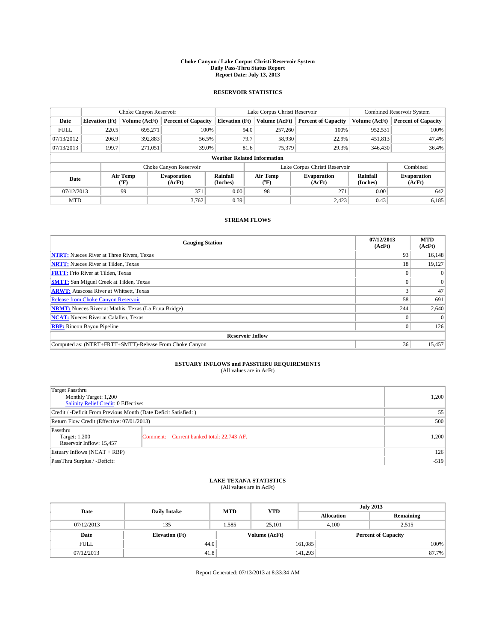#### **Choke Canyon / Lake Corpus Christi Reservoir System Daily Pass-Thru Status Report Report Date: July 13, 2013**

### **RESERVOIR STATISTICS**

|             |                       | Choke Canyon Reservoir |                              |                                    | Lake Corpus Christi Reservoir | <b>Combined Reservoir System</b> |               |                              |
|-------------|-----------------------|------------------------|------------------------------|------------------------------------|-------------------------------|----------------------------------|---------------|------------------------------|
| Date        | <b>Elevation</b> (Ft) | Volume (AcFt)          | <b>Percent of Capacity</b>   | <b>Elevation (Ft)</b>              | Volume (AcFt)                 | <b>Percent of Capacity</b>       | Volume (AcFt) | <b>Percent of Capacity</b>   |
| <b>FULL</b> | 220.5                 | 695,271                | 100%                         | 94.0                               | 257,260                       | 100%                             | 952,531       | 100%                         |
| 07/13/2012  | 206.9                 | 392,883                | 56.5%                        | 79.7                               | 58,930                        | 22.9%                            | 451,813       | 47.4%                        |
| 07/13/2013  | 199.7                 | 271.051                | 39.0%                        | 81.6                               | 75,379                        | 29.3%                            | 346,430       | 36.4%                        |
|             |                       |                        |                              | <b>Weather Related Information</b> |                               |                                  |               |                              |
|             |                       |                        | Choke Canyon Reservoir       |                                    | Lake Corpus Christi Reservoir |                                  | Combined      |                              |
| Date        |                       | Air Temp<br>(°F)       | <b>Evaporation</b><br>(AcFt) | Rainfall<br>(Inches)               | Air Temp<br>(°F)              | <b>Evaporation</b><br>(AcFt)     |               | <b>Evaporation</b><br>(AcFt) |
| 07/12/2013  |                       | 99                     | 371                          | 0.00                               | 98                            | 271                              | 0.00          | 642                          |
| <b>MTD</b>  |                       |                        | 3.762                        | 0.39                               |                               | 2,423                            | 0.43          | 6,185                        |

## **STREAM FLOWS**

| <b>Gauging Station</b>                                       | 07/12/2013<br>(AcFt) | <b>MTD</b><br>(AcFt) |  |  |  |  |
|--------------------------------------------------------------|----------------------|----------------------|--|--|--|--|
| <b>NTRT:</b> Nueces River at Three Rivers, Texas             | 93                   | 16,148               |  |  |  |  |
| <b>NRTT:</b> Nueces River at Tilden, Texas                   | 18                   | 19,127               |  |  |  |  |
| <b>FRTT:</b> Frio River at Tilden, Texas                     |                      |                      |  |  |  |  |
| <b>SMTT:</b> San Miguel Creek at Tilden, Texas               |                      | $\Omega$             |  |  |  |  |
| <b>ARWT:</b> Atascosa River at Whitsett, Texas               |                      | 47                   |  |  |  |  |
| <b>Release from Choke Canyon Reservoir</b>                   | 58                   | 691                  |  |  |  |  |
| <b>NRMT:</b> Nueces River at Mathis, Texas (La Fruta Bridge) | 244                  | 2,640                |  |  |  |  |
| <b>NCAT:</b> Nueces River at Calallen, Texas                 |                      | $\Omega$             |  |  |  |  |
| <b>RBP:</b> Rincon Bayou Pipeline                            | $\Omega$             | 126                  |  |  |  |  |
| <b>Reservoir Inflow</b>                                      |                      |                      |  |  |  |  |
| Computed as: (NTRT+FRTT+SMTT)-Release From Choke Canyon      | 36                   | 15,457               |  |  |  |  |

# **ESTUARY INFLOWS and PASSTHRU REQUIREMENTS**<br>(All values are in AcFt)

| <b>Target Passthru</b><br>Monthly Target: 1,200<br>Salinity Relief Credit: 0 Effective: | 1,200                                     |       |  |  |
|-----------------------------------------------------------------------------------------|-------------------------------------------|-------|--|--|
| Credit / -Deficit From Previous Month (Date Deficit Satisfied: )                        |                                           |       |  |  |
| Return Flow Credit (Effective: 07/01/2013)                                              | 500                                       |       |  |  |
| Passthru<br>Target: 1,200<br>Reservoir Inflow: 15,457                                   | Comment: Current banked total: 22,743 AF. | 1,200 |  |  |
| Estuary Inflows $(NCAT + RBP)$                                                          | 126                                       |       |  |  |
| PassThru Surplus / -Deficit:                                                            | $-519$                                    |       |  |  |

## **LAKE TEXANA STATISTICS** (All values are in AcFt)

| Date        | <b>Daily Intake</b>   | <b>MTD</b> | <b>YTD</b>    | <b>July 2013</b>  |                            |           |  |
|-------------|-----------------------|------------|---------------|-------------------|----------------------------|-----------|--|
|             |                       |            |               | <b>Allocation</b> |                            | Remaining |  |
| 07/12/2013  | 135                   | 1.585      | 25.101        |                   | 4.100<br>2.515             |           |  |
| Date        | <b>Elevation</b> (Ft) |            | Volume (AcFt) |                   | <b>Percent of Capacity</b> |           |  |
| <b>FULL</b> | 44.0                  |            |               | 161,085           |                            | 100%      |  |
| 07/12/2013  | 41.8                  |            |               | 141,293           |                            | 87.7%     |  |

Report Generated: 07/13/2013 at 8:33:34 AM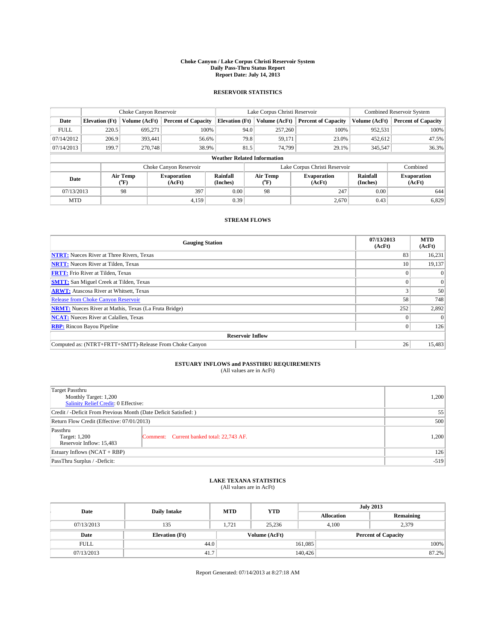#### **Choke Canyon / Lake Corpus Christi Reservoir System Daily Pass-Thru Status Report Report Date: July 14, 2013**

### **RESERVOIR STATISTICS**

|             |                                    | Choke Canyon Reservoir |                              |                       | Lake Corpus Christi Reservoir | Combined Reservoir System    |                      |                              |  |
|-------------|------------------------------------|------------------------|------------------------------|-----------------------|-------------------------------|------------------------------|----------------------|------------------------------|--|
| Date        | <b>Elevation</b> (Ft)              | Volume (AcFt)          | <b>Percent of Capacity</b>   | <b>Elevation (Ft)</b> | Volume (AcFt)                 | <b>Percent of Capacity</b>   | Volume (AcFt)        | <b>Percent of Capacity</b>   |  |
| <b>FULL</b> | 220.5                              | 695,271                | 100%                         |                       | 94.0<br>257,260               | 100%                         | 952,531              | 100%                         |  |
| 07/14/2012  | 206.9                              | 393,441                | 56.6%                        |                       | 79.8<br>59,171                | 23.0%                        | 452,612              | 47.5%                        |  |
| 07/14/2013  | 199.7                              | 270,748                | 38.9%                        |                       | 81.5<br>74.799                | 29.1%                        | 345,547              | 36.3%                        |  |
|             | <b>Weather Related Information</b> |                        |                              |                       |                               |                              |                      |                              |  |
|             |                                    |                        | Choke Canyon Reservoir       |                       | Lake Corpus Christi Reservoir |                              | Combined             |                              |  |
| Date        |                                    | Air Temp<br>(°F)       | <b>Evaporation</b><br>(AcFt) | Rainfall<br>(Inches)  | Air Temp<br>("F)              | <b>Evaporation</b><br>(AcFt) | Rainfall<br>(Inches) | <b>Evaporation</b><br>(AcFt) |  |
| 07/13/2013  |                                    | 98                     | 397                          | 0.00                  | 98                            | 247                          | 0.00                 | 644                          |  |
| <b>MTD</b>  |                                    |                        | 4,159                        | 0.39                  |                               | 2,670                        | 0.43                 | 6,829                        |  |

## **STREAM FLOWS**

| <b>Gauging Station</b>                                       | 07/13/2013<br>(AcFt) | <b>MTD</b><br>(AcFt) |  |  |  |  |
|--------------------------------------------------------------|----------------------|----------------------|--|--|--|--|
| <b>NTRT:</b> Nueces River at Three Rivers, Texas             | 83                   | 16,231               |  |  |  |  |
| <b>NRTT:</b> Nueces River at Tilden, Texas                   | 10                   | 19,137               |  |  |  |  |
| <b>FRTT:</b> Frio River at Tilden, Texas                     |                      |                      |  |  |  |  |
| <b>SMTT:</b> San Miguel Creek at Tilden, Texas               |                      | $\Omega$             |  |  |  |  |
| <b>ARWT:</b> Atascosa River at Whitsett, Texas               |                      | 50                   |  |  |  |  |
| <b>Release from Choke Canyon Reservoir</b>                   | 58                   | 748                  |  |  |  |  |
| <b>NRMT:</b> Nueces River at Mathis, Texas (La Fruta Bridge) | 252                  | 2,892                |  |  |  |  |
| <b>NCAT:</b> Nueces River at Calallen, Texas                 |                      | $\Omega$             |  |  |  |  |
| <b>RBP:</b> Rincon Bayou Pipeline                            | $\Omega$             | 126                  |  |  |  |  |
| <b>Reservoir Inflow</b>                                      |                      |                      |  |  |  |  |
| Computed as: (NTRT+FRTT+SMTT)-Release From Choke Canyon      | 26                   | 15,483               |  |  |  |  |

# **ESTUARY INFLOWS and PASSTHRU REQUIREMENTS**<br>(All values are in AcFt)

| Target Passthru<br>Monthly Target: 1,200<br>Salinity Relief Credit: 0 Effective: |                                           |       |  |  |
|----------------------------------------------------------------------------------|-------------------------------------------|-------|--|--|
| Credit / -Deficit From Previous Month (Date Deficit Satisfied: )                 |                                           |       |  |  |
| Return Flow Credit (Effective: 07/01/2013)                                       |                                           |       |  |  |
| Passthru<br>Target: 1,200<br>Reservoir Inflow: 15,483                            | Comment: Current banked total: 22,743 AF. | 1,200 |  |  |
| Estuary Inflows (NCAT + RBP)                                                     |                                           |       |  |  |
| PassThru Surplus / -Deficit:                                                     | $-519$                                    |       |  |  |

## **LAKE TEXANA STATISTICS** (All values are in AcFt)

| Date        | <b>Daily Intake</b>   | <b>MTD</b> | <b>YTD</b>    | <b>July 2013</b>  |                            |           |  |
|-------------|-----------------------|------------|---------------|-------------------|----------------------------|-----------|--|
|             |                       |            |               | <b>Allocation</b> |                            | Remaining |  |
| 07/13/2013  | 135                   | 1.721      | 25.236        |                   | 2,379<br>4.100             |           |  |
| Date        | <b>Elevation</b> (Ft) |            | Volume (AcFt) |                   | <b>Percent of Capacity</b> |           |  |
| <b>FULL</b> | 44.0                  |            |               | 161,085           |                            | 100%      |  |
| 07/13/2013  | 41.7                  |            |               | 140,426           |                            | 87.2%     |  |

Report Generated: 07/14/2013 at 8:27:18 AM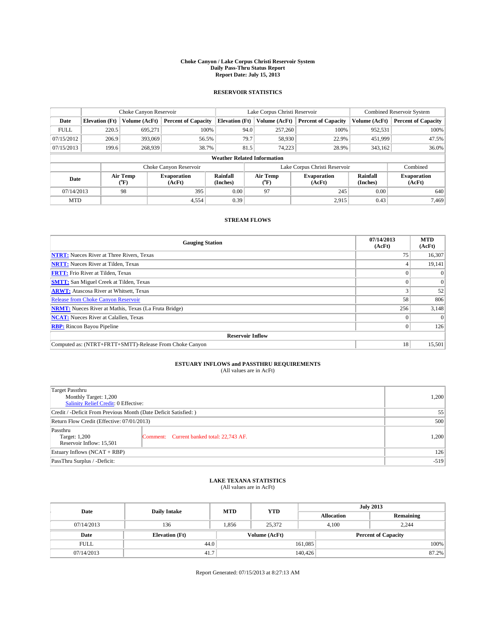#### **Choke Canyon / Lake Corpus Christi Reservoir System Daily Pass-Thru Status Report Report Date: July 15, 2013**

### **RESERVOIR STATISTICS**

|             |                       | Choke Canyon Reservoir |                              |                                    | Lake Corpus Christi Reservoir | <b>Combined Reservoir System</b> |                      |                              |
|-------------|-----------------------|------------------------|------------------------------|------------------------------------|-------------------------------|----------------------------------|----------------------|------------------------------|
| Date        | <b>Elevation</b> (Ft) | Volume (AcFt)          | <b>Percent of Capacity</b>   | <b>Elevation (Ft)</b>              | Volume (AcFt)                 | <b>Percent of Capacity</b>       | Volume (AcFt)        | Percent of Capacity          |
| <b>FULL</b> | 220.5                 | 695,271                | 100%                         | 94.0                               | 257,260                       | 100%                             | 952,531              | 100%                         |
| 07/15/2012  | 206.9                 | 393,069                | 56.5%                        | 79.7                               | 58,930                        | 22.9%                            | 451,999              | 47.5%                        |
| 07/15/2013  | 199.6                 | 268,939                | 38.7%                        | 81.5                               | 74.223                        | 28.9%                            | 343,162              | $36.0\%$                     |
|             |                       |                        |                              | <b>Weather Related Information</b> |                               |                                  |                      |                              |
|             |                       |                        | Choke Canyon Reservoir       |                                    | Lake Corpus Christi Reservoir |                                  | Combined             |                              |
| Date        |                       | Air Temp<br>(°F)       | <b>Evaporation</b><br>(AcFt) | Rainfall<br>(Inches)               | Air Temp<br>("F)              | <b>Evaporation</b><br>(AcFt)     | Rainfall<br>(Inches) | <b>Evaporation</b><br>(AcFt) |
| 07/14/2013  |                       | 98                     | 395                          | 0.00                               | 97                            | 245                              | 0.00                 | 640                          |
| <b>MTD</b>  |                       |                        | 4,554                        | 0.39                               |                               | 2,915                            | 0.43                 | 7.469                        |

## **STREAM FLOWS**

| <b>Gauging Station</b>                                       | 07/14/2013<br>(AcFt) | <b>MTD</b><br>(AcFt) |  |  |  |  |
|--------------------------------------------------------------|----------------------|----------------------|--|--|--|--|
| <b>NTRT:</b> Nueces River at Three Rivers, Texas             | 75                   | 16,307               |  |  |  |  |
| <b>NRTT:</b> Nueces River at Tilden, Texas                   |                      | 19,141               |  |  |  |  |
| <b>FRTT:</b> Frio River at Tilden, Texas                     |                      |                      |  |  |  |  |
| <b>SMTT:</b> San Miguel Creek at Tilden, Texas               |                      | $\Omega$             |  |  |  |  |
| <b>ARWT:</b> Atascosa River at Whitsett, Texas               |                      | 52                   |  |  |  |  |
| <b>Release from Choke Canyon Reservoir</b>                   | 58                   | 806                  |  |  |  |  |
| <b>NRMT:</b> Nueces River at Mathis, Texas (La Fruta Bridge) | 256                  | 3,148                |  |  |  |  |
| <b>NCAT:</b> Nueces River at Calallen, Texas                 |                      | $\Omega$             |  |  |  |  |
| <b>RBP:</b> Rincon Bayou Pipeline                            | $\Omega$             | 126                  |  |  |  |  |
| <b>Reservoir Inflow</b>                                      |                      |                      |  |  |  |  |
| Computed as: (NTRT+FRTT+SMTT)-Release From Choke Canyon      | 18                   | 15,501               |  |  |  |  |

# **ESTUARY INFLOWS and PASSTHRU REQUIREMENTS**<br>(All values are in AcFt)

| Target Passthru<br>Monthly Target: 1,200<br>Salinity Relief Credit: 0 Effective: | 1,200                                     |       |  |  |
|----------------------------------------------------------------------------------|-------------------------------------------|-------|--|--|
| Credit / -Deficit From Previous Month (Date Deficit Satisfied: )                 |                                           |       |  |  |
| Return Flow Credit (Effective: 07/01/2013)                                       |                                           |       |  |  |
| Passthru<br>Target: 1,200<br>Reservoir Inflow: 15,501                            | Comment: Current banked total: 22,743 AF. | 1,200 |  |  |
| Estuary Inflows (NCAT + RBP)                                                     |                                           |       |  |  |
| PassThru Surplus / -Deficit:                                                     | $-519$                                    |       |  |  |

## **LAKE TEXANA STATISTICS** (All values are in AcFt)

| Date        | <b>Daily Intake</b>   | <b>MTD</b> | <b>YTD</b>    | <b>July 2013</b>  |                            |           |  |
|-------------|-----------------------|------------|---------------|-------------------|----------------------------|-----------|--|
|             |                       |            |               | <b>Allocation</b> |                            | Remaining |  |
| 07/14/2013  | 136                   | 1,856      | 25,372        |                   | 2.244<br>4.100             |           |  |
| Date        | <b>Elevation</b> (Ft) |            | Volume (AcFt) |                   | <b>Percent of Capacity</b> |           |  |
| <b>FULL</b> | 44.0                  |            |               | 161,085           |                            | 100%      |  |
| 07/14/2013  | 41.7                  |            |               | 140,426           |                            | 87.2%     |  |

Report Generated: 07/15/2013 at 8:27:13 AM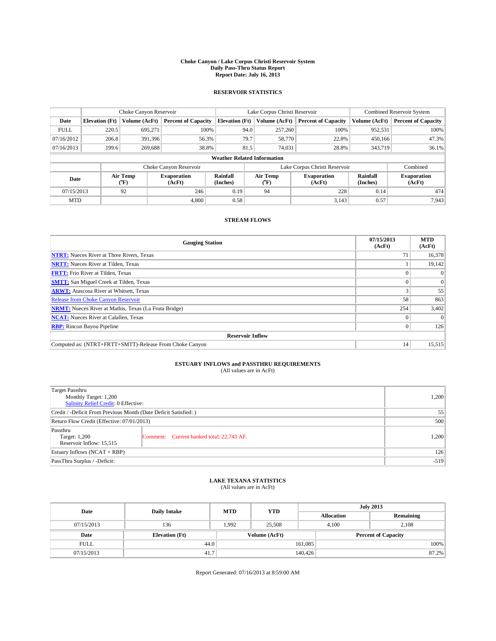#### **Choke Canyon / Lake Corpus Christi Reservoir System Daily Pass-Thru Status Report Report Date: July 16, 2013**

### **RESERVOIR STATISTICS**

|             | Choke Canyon Reservoir             |                  |                              | Lake Corpus Christi Reservoir | <b>Combined Reservoir System</b> |                                             |                               |                      |                              |
|-------------|------------------------------------|------------------|------------------------------|-------------------------------|----------------------------------|---------------------------------------------|-------------------------------|----------------------|------------------------------|
| Date        | <b>Elevation</b> (Ft)              | Volume (AcFt)    | <b>Percent of Capacity</b>   | <b>Elevation (Ft)</b>         |                                  | <b>Percent of Capacity</b><br>Volume (AcFt) |                               | Volume (AcFt)        | <b>Percent of Capacity</b>   |
| <b>FULL</b> | 220.5                              | 695,271          | 100%                         |                               | 94.0                             | 257,260                                     | 100%                          | 952,531              | 100%                         |
| 07/16/2012  | 206.8                              | 391,396          | 56.3%                        |                               | 79.7                             | 58,770                                      | 22.8%                         | 450,166              | 47.3%                        |
| 07/16/2013  | 199.6                              | 269,688          | 38.8%                        |                               | 81.5                             | 74.031                                      | 28.8%                         | 343,719              | 36.1%                        |
|             | <b>Weather Related Information</b> |                  |                              |                               |                                  |                                             |                               |                      |                              |
|             |                                    |                  | Choke Canyon Reservoir       |                               |                                  |                                             | Lake Corpus Christi Reservoir |                      | Combined                     |
| Date        |                                    | Air Temp<br>(°F) | <b>Evaporation</b><br>(AcFt) | Rainfall<br>(Inches)          |                                  | Air Temp<br>$(^{0}F)$                       | <b>Evaporation</b><br>(AcFt)  | Rainfall<br>(Inches) | <b>Evaporation</b><br>(AcFt) |
| 07/15/2013  |                                    | 92               | 246                          | 0.19                          |                                  | 94                                          | 228                           | 0.14                 | 474                          |
| <b>MTD</b>  |                                    |                  | 4.800                        | 0.58                          |                                  |                                             | 3,143                         | 0.57                 | 7,943                        |

## **STREAM FLOWS**

| <b>Gauging Station</b>                                       | 07/15/2013<br>(AcFt) | <b>MTD</b><br>(AcFt) |  |  |  |
|--------------------------------------------------------------|----------------------|----------------------|--|--|--|
| <b>NTRT:</b> Nueces River at Three Rivers, Texas             | 71                   | 16,378               |  |  |  |
| <b>NRTT:</b> Nueces River at Tilden, Texas                   |                      | 19,142               |  |  |  |
| <b>FRTT:</b> Frio River at Tilden, Texas                     |                      |                      |  |  |  |
| <b>SMTT:</b> San Miguel Creek at Tilden, Texas               |                      | $\Omega$             |  |  |  |
| <b>ARWT:</b> Atascosa River at Whitsett, Texas               |                      | 55                   |  |  |  |
| <b>Release from Choke Canyon Reservoir</b>                   | 58                   | 863                  |  |  |  |
| <b>NRMT:</b> Nueces River at Mathis, Texas (La Fruta Bridge) | 254                  | 3,402                |  |  |  |
| <b>NCAT:</b> Nueces River at Calallen, Texas                 |                      |                      |  |  |  |
| <b>RBP:</b> Rincon Bayou Pipeline                            | $\Omega$             | 126                  |  |  |  |
| <b>Reservoir Inflow</b>                                      |                      |                      |  |  |  |
| Computed as: (NTRT+FRTT+SMTT)-Release From Choke Canyon      | 14                   | 15,515               |  |  |  |

# **ESTUARY INFLOWS and PASSTHRU REQUIREMENTS**<br>(All values are in AcFt)

| <b>Target Passthru</b><br>Monthly Target: 1,200<br>Salinity Relief Credit: 0 Effective: |                                           |       |  |  |
|-----------------------------------------------------------------------------------------|-------------------------------------------|-------|--|--|
| Credit / -Deficit From Previous Month (Date Deficit Satisfied: )                        |                                           |       |  |  |
| Return Flow Credit (Effective: 07/01/2013)                                              | 500                                       |       |  |  |
| Passthru<br>Target: 1,200<br>Reservoir Inflow: 15,515                                   | Comment: Current banked total: 22,743 AF. | 1,200 |  |  |
| Estuary Inflows $(NCAT + RBP)$                                                          | 126                                       |       |  |  |
| PassThru Surplus / -Deficit:                                                            | $-519$                                    |       |  |  |

# **LAKE TEXANA STATISTICS** (All values are in AcFt)

| Date        | <b>Daily Intake</b>   | <b>MTD</b> | <b>YTD</b>    | <b>July 2013</b>  |                            |           |  |
|-------------|-----------------------|------------|---------------|-------------------|----------------------------|-----------|--|
|             |                       |            |               | <b>Allocation</b> |                            | Remaining |  |
| 07/15/2013  | 136                   | 1.992      | 25,508        |                   | 2,108<br>4.100             |           |  |
| Date        | <b>Elevation</b> (Ft) |            | Volume (AcFt) |                   | <b>Percent of Capacity</b> |           |  |
| <b>FULL</b> | 44.0                  |            |               | 161,085           |                            | 100%      |  |
| 07/15/2013  | 41.7                  |            |               | 140,426           |                            | 87.2%     |  |

Report Generated: 07/16/2013 at 8:59:00 AM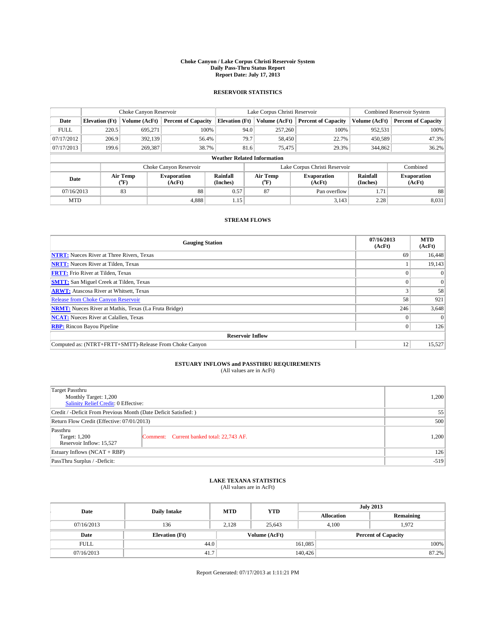#### **Choke Canyon / Lake Corpus Christi Reservoir System Daily Pass-Thru Status Report Report Date: July 17, 2013**

### **RESERVOIR STATISTICS**

|             |                                    | Choke Canyon Reservoir |                              |                       | Lake Corpus Christi Reservoir | <b>Combined Reservoir System</b> |                      |                              |  |
|-------------|------------------------------------|------------------------|------------------------------|-----------------------|-------------------------------|----------------------------------|----------------------|------------------------------|--|
| Date        | <b>Elevation</b> (Ft)              | Volume (AcFt)          | <b>Percent of Capacity</b>   | <b>Elevation (Ft)</b> | Volume (AcFt)                 | <b>Percent of Capacity</b>       | Volume (AcFt)        | <b>Percent of Capacity</b>   |  |
| <b>FULL</b> | 220.5                              | 695,271                | 100%                         | 94.0                  | 257,260                       | 100%                             | 952,531              | 100%                         |  |
| 07/17/2012  | 206.9                              | 392,139                | 56.4%                        | 79.7                  | 58,450                        | 22.7%                            | 450,589              | 47.3%                        |  |
| 07/17/2013  | 199.6                              | 269,387                | 38.7%                        | 81.6                  | 75,475                        | 29.3%                            | 344,862              | 36.2%                        |  |
|             | <b>Weather Related Information</b> |                        |                              |                       |                               |                                  |                      |                              |  |
|             |                                    |                        | Choke Canyon Reservoir       |                       |                               | Lake Corpus Christi Reservoir    |                      | Combined                     |  |
| Date        |                                    | Air Temp<br>(°F)       | <b>Evaporation</b><br>(AcFt) | Rainfall<br>(Inches)  | Air Temp<br>$(^{0}F)$         | <b>Evaporation</b><br>(AcFt)     | Rainfall<br>(Inches) | <b>Evaporation</b><br>(AcFt) |  |
| 07/16/2013  |                                    | 83                     | 88                           | 0.57                  | 87                            | Pan overflow                     | 1.71                 | 88                           |  |
| <b>MTD</b>  |                                    |                        | 4.888                        | 1.15                  |                               | 3,143                            | 2.28                 | 8,031                        |  |

## **STREAM FLOWS**

| <b>Gauging Station</b>                                       | 07/16/2013<br>(AcFt) | <b>MTD</b><br>(AcFt) |  |  |  |
|--------------------------------------------------------------|----------------------|----------------------|--|--|--|
| <b>NTRT:</b> Nueces River at Three Rivers, Texas             | 69                   | 16,448               |  |  |  |
| <b>NRTT:</b> Nueces River at Tilden, Texas                   |                      | 19,143               |  |  |  |
| <b>FRTT:</b> Frio River at Tilden, Texas                     |                      | $\Omega$             |  |  |  |
| <b>SMTT:</b> San Miguel Creek at Tilden, Texas               |                      | $\Omega$             |  |  |  |
| <b>ARWT:</b> Atascosa River at Whitsett, Texas               |                      | 58                   |  |  |  |
| <b>Release from Choke Canyon Reservoir</b>                   | 58                   | 921                  |  |  |  |
| <b>NRMT:</b> Nueces River at Mathis, Texas (La Fruta Bridge) | 246                  | 3,648                |  |  |  |
| <b>NCAT:</b> Nueces River at Calallen, Texas                 |                      |                      |  |  |  |
| <b>RBP:</b> Rincon Bayou Pipeline                            | $\Omega$             | 126                  |  |  |  |
| <b>Reservoir Inflow</b>                                      |                      |                      |  |  |  |
| Computed as: (NTRT+FRTT+SMTT)-Release From Choke Canyon      | 12                   | 15,527               |  |  |  |

# **ESTUARY INFLOWS and PASSTHRU REQUIREMENTS**<br>(All values are in AcFt)

| Target Passthru<br>Monthly Target: 1,200<br>Salinity Relief Credit: 0 Effective: |                                           |       |  |  |
|----------------------------------------------------------------------------------|-------------------------------------------|-------|--|--|
| Credit / -Deficit From Previous Month (Date Deficit Satisfied: )                 |                                           |       |  |  |
| Return Flow Credit (Effective: 07/01/2013)                                       |                                           |       |  |  |
| Passthru<br>Target: 1,200<br>Reservoir Inflow: 15,527                            | Comment: Current banked total: 22,743 AF. | 1,200 |  |  |
| Estuary Inflows (NCAT + RBP)                                                     |                                           |       |  |  |
| PassThru Surplus / -Deficit:                                                     | $-519$                                    |       |  |  |

## **LAKE TEXANA STATISTICS** (All values are in AcFt)

| Date        | <b>Daily Intake</b>   | <b>MTD</b> | <b>YTD</b>    | <b>July 2013</b>  |                |                            |  |
|-------------|-----------------------|------------|---------------|-------------------|----------------|----------------------------|--|
|             |                       |            |               | <b>Allocation</b> |                | Remaining                  |  |
| 07/16/2013  | 136                   | 2.128      | 25,643        |                   | 1.972<br>4.100 |                            |  |
| Date        | <b>Elevation</b> (Ft) |            | Volume (AcFt) |                   |                | <b>Percent of Capacity</b> |  |
| <b>FULL</b> | 44.0                  |            |               | 161,085           |                | 100%                       |  |
| 07/16/2013  | 41.7                  |            |               | 140,426           |                | 87.2%                      |  |

Report Generated: 07/17/2013 at 1:11:21 PM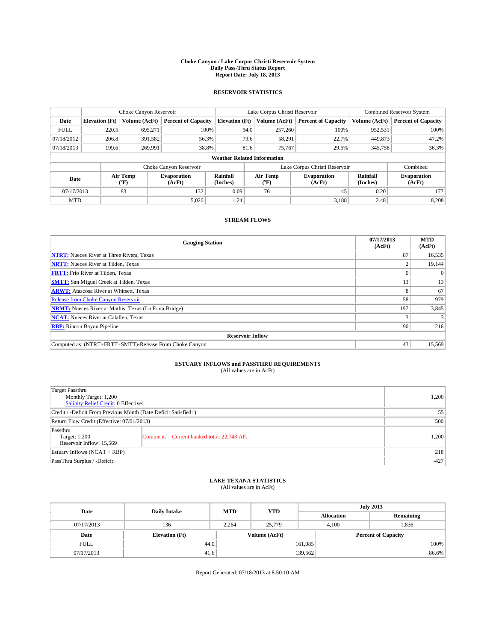#### **Choke Canyon / Lake Corpus Christi Reservoir System Daily Pass-Thru Status Report Report Date: July 18, 2013**

### **RESERVOIR STATISTICS**

|             |                                    | Choke Canyon Reservoir |                            |                       | Lake Corpus Christi Reservoir | <b>Combined Reservoir System</b> |                      |                              |  |  |
|-------------|------------------------------------|------------------------|----------------------------|-----------------------|-------------------------------|----------------------------------|----------------------|------------------------------|--|--|
| Date        | <b>Elevation</b> (Ft)              | Volume (AcFt)          | <b>Percent of Capacity</b> | <b>Elevation (Ft)</b> | Volume (AcFt)                 | <b>Percent of Capacity</b>       | Volume (AcFt)        | Percent of Capacity          |  |  |
| <b>FULL</b> | 220.5                              | 695,271                | 100%                       | 94.0                  | 257,260                       | 100%                             | 952,531              | 100%                         |  |  |
| 07/18/2012  | 206.8                              | 391,582                | 56.3%                      |                       | 79.6<br>58,291                | 22.7%                            | 449,873              | 47.2%                        |  |  |
| 07/18/2013  | 199.6                              | 269,991                | 38.8%                      | 81.6                  | 75,767                        | 29.5%                            | 345,758              | $36.3\%$                     |  |  |
|             | <b>Weather Related Information</b> |                        |                            |                       |                               |                                  |                      |                              |  |  |
|             |                                    |                        | Choke Canyon Reservoir     |                       |                               | Lake Corpus Christi Reservoir    |                      | Combined                     |  |  |
| Date        |                                    | Air Temp<br>(°F)       | Evaporation<br>(AcFt)      | Rainfall<br>(Inches)  | Air Temp<br>("F)              | <b>Evaporation</b><br>(AcFt)     | Rainfall<br>(Inches) | <b>Evaporation</b><br>(AcFt) |  |  |
| 07/17/2013  |                                    | 83                     | 132                        | 0.09                  | 76                            | 45                               | 0.20                 | 1771                         |  |  |
| <b>MTD</b>  |                                    |                        | 5,020                      | 1.24                  |                               | 3,188                            | 2.48                 | 8,208                        |  |  |

## **STREAM FLOWS**

| <b>Gauging Station</b>                                       | 07/17/2013<br>(AcFt) | <b>MTD</b><br>(AcFt) |  |  |  |
|--------------------------------------------------------------|----------------------|----------------------|--|--|--|
| <b>NTRT:</b> Nueces River at Three Rivers, Texas             | 87                   | 16,535               |  |  |  |
| <b>NRTT:</b> Nueces River at Tilden, Texas                   |                      | 19,144               |  |  |  |
| <b>FRTT:</b> Frio River at Tilden, Texas                     |                      | $\Omega$             |  |  |  |
| <b>SMTT:</b> San Miguel Creek at Tilden, Texas               | 13                   | 13                   |  |  |  |
| <b>ARWT:</b> Atascosa River at Whitsett, Texas               |                      | 67                   |  |  |  |
| <b>Release from Choke Canyon Reservoir</b>                   | 58                   | 979                  |  |  |  |
| <b>NRMT:</b> Nueces River at Mathis, Texas (La Fruta Bridge) | 197                  | 3,845                |  |  |  |
| <b>NCAT:</b> Nueces River at Calallen, Texas                 |                      |                      |  |  |  |
| <b>RBP:</b> Rincon Bayou Pipeline                            | 90                   | 216                  |  |  |  |
| <b>Reservoir Inflow</b>                                      |                      |                      |  |  |  |
| Computed as: (NTRT+FRTT+SMTT)-Release From Choke Canyon      | 43                   | 15,569               |  |  |  |

# **ESTUARY INFLOWS and PASSTHRU REQUIREMENTS**<br>(All values are in AcFt)

| Target Passthru<br>Monthly Target: 1,200<br>Salinity Relief Credit: 0 Effective: |                                           |       |  |  |
|----------------------------------------------------------------------------------|-------------------------------------------|-------|--|--|
| Credit / -Deficit From Previous Month (Date Deficit Satisfied: )                 |                                           |       |  |  |
| Return Flow Credit (Effective: 07/01/2013)                                       |                                           |       |  |  |
| Passthru<br>Target: 1,200<br>Reservoir Inflow: 15,569                            | Comment: Current banked total: 22,743 AF. | 1,200 |  |  |
| Estuary Inflows (NCAT + RBP)                                                     | 218                                       |       |  |  |
| PassThru Surplus / -Deficit:                                                     | $-427$                                    |       |  |  |

## **LAKE TEXANA STATISTICS** (All values are in AcFt)

| Date        | <b>Daily Intake</b>   | <b>MTD</b> | <b>YTD</b>    | <b>July 2013</b>  |                            |           |  |
|-------------|-----------------------|------------|---------------|-------------------|----------------------------|-----------|--|
|             |                       |            |               | <b>Allocation</b> |                            | Remaining |  |
| 07/17/2013  | 136                   | 2.264      | 25,779        |                   | 1,836<br>4.100             |           |  |
| Date        | <b>Elevation</b> (Ft) |            | Volume (AcFt) |                   | <b>Percent of Capacity</b> |           |  |
| <b>FULL</b> | 44.0                  |            |               | 161,085           |                            | 100%      |  |
| 07/17/2013  | 41.6                  |            |               | 139,562           |                            | 86.6%     |  |

Report Generated: 07/18/2013 at 8:50:10 AM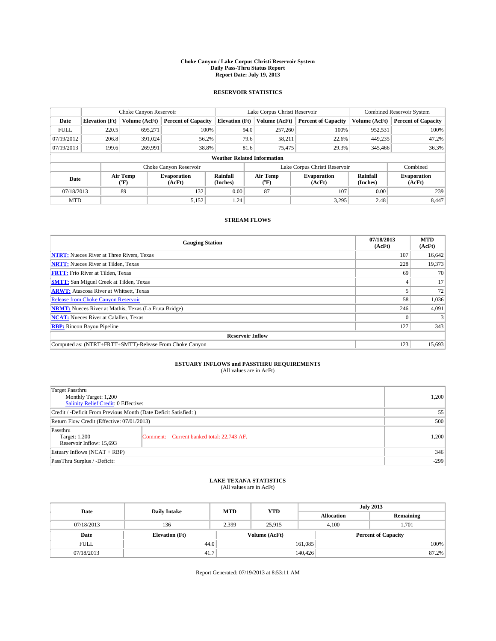#### **Choke Canyon / Lake Corpus Christi Reservoir System Daily Pass-Thru Status Report Report Date: July 19, 2013**

### **RESERVOIR STATISTICS**

|             | Choke Canyon Reservoir |                  |                              |                                    | Lake Corpus Christi Reservoir | <b>Combined Reservoir System</b> |                      |                              |
|-------------|------------------------|------------------|------------------------------|------------------------------------|-------------------------------|----------------------------------|----------------------|------------------------------|
| Date        | <b>Elevation</b> (Ft)  | Volume (AcFt)    | <b>Percent of Capacity</b>   | <b>Elevation (Ft)</b>              | Volume (AcFt)                 | <b>Percent of Capacity</b>       | Volume (AcFt)        | <b>Percent of Capacity</b>   |
| <b>FULL</b> | 220.5                  | 695,271          | 100%                         | 94.0                               | 257,260                       | 100%                             | 952,531              | 100%                         |
| 07/19/2012  | 206.8                  | 391,024          | 56.2%                        | 79.6                               | 58,211                        | 22.6%                            | 449,235              | 47.2%                        |
| 07/19/2013  | 199.6                  | 269,991          | 38.8%                        | 81.6                               | 75,475                        | 29.3%                            | 345,466              | 36.3%                        |
|             |                        |                  |                              | <b>Weather Related Information</b> |                               |                                  |                      |                              |
|             |                        |                  | Choke Canyon Reservoir       |                                    |                               | Lake Corpus Christi Reservoir    |                      | Combined                     |
| Date        |                        | Air Temp<br>(°F) | <b>Evaporation</b><br>(AcFt) | Rainfall<br>(Inches)               | Air Temp<br>(°F)              | <b>Evaporation</b><br>(AcFt)     | Rainfall<br>(Inches) | <b>Evaporation</b><br>(AcFt) |
| 07/18/2013  |                        | 89               | 132                          | 0.00                               | 87                            | 107                              | 0.00                 | 239                          |
| <b>MTD</b>  |                        |                  | 5,152                        | 1.24                               |                               | 3,295                            | 2.48                 | 8,447                        |

## **STREAM FLOWS**

| <b>Gauging Station</b>                                       | 07/18/2013<br>(AcFt) | <b>MTD</b><br>(AcFt) |  |  |  |
|--------------------------------------------------------------|----------------------|----------------------|--|--|--|
| <b>NTRT:</b> Nueces River at Three Rivers, Texas             | 107                  | 16,642               |  |  |  |
| <b>NRTT:</b> Nueces River at Tilden, Texas                   | 228                  | 19,373               |  |  |  |
| <b>FRTT:</b> Frio River at Tilden, Texas                     | 69                   | 70                   |  |  |  |
| <b>SMTT:</b> San Miguel Creek at Tilden, Texas               |                      | 17                   |  |  |  |
| <b>ARWT:</b> Atascosa River at Whitsett, Texas               |                      | 72                   |  |  |  |
| <b>Release from Choke Canyon Reservoir</b>                   | 58                   | 1,036                |  |  |  |
| <b>NRMT:</b> Nueces River at Mathis, Texas (La Fruta Bridge) | 246                  | 4,091                |  |  |  |
| <b>NCAT:</b> Nueces River at Calallen, Texas                 |                      |                      |  |  |  |
| <b>RBP:</b> Rincon Bayou Pipeline                            | 127                  | 343                  |  |  |  |
| <b>Reservoir Inflow</b>                                      |                      |                      |  |  |  |
| Computed as: (NTRT+FRTT+SMTT)-Release From Choke Canyon      | 123                  | 15,693               |  |  |  |

# **ESTUARY INFLOWS and PASSTHRU REQUIREMENTS**<br>(All values are in AcFt)

| Target Passthru<br>Monthly Target: 1,200<br>Salinity Relief Credit: 0 Effective: | 1,200                                     |       |  |  |
|----------------------------------------------------------------------------------|-------------------------------------------|-------|--|--|
| Credit / -Deficit From Previous Month (Date Deficit Satisfied: )                 | 55                                        |       |  |  |
| Return Flow Credit (Effective: 07/01/2013)                                       |                                           |       |  |  |
| Passthru<br>Target: 1,200<br>Reservoir Inflow: 15,693                            | Comment: Current banked total: 22,743 AF. | 1,200 |  |  |
| Estuary Inflows (NCAT + RBP)                                                     | 346                                       |       |  |  |
| PassThru Surplus / -Deficit:                                                     | $-299$                                    |       |  |  |

## **LAKE TEXANA STATISTICS** (All values are in AcFt)

| Date        | <b>Daily Intake</b>   | <b>MTD</b> | <b>YTD</b>    | <b>July 2013</b>  |                            |           |  |
|-------------|-----------------------|------------|---------------|-------------------|----------------------------|-----------|--|
|             |                       |            |               | <b>Allocation</b> |                            | Remaining |  |
| 07/18/2013  | 136                   | 2,399      | 25.915        |                   | 1,701<br>4.100             |           |  |
| Date        | <b>Elevation</b> (Ft) |            | Volume (AcFt) |                   | <b>Percent of Capacity</b> |           |  |
| <b>FULL</b> | 44.0                  |            |               | 161,085           |                            | 100%      |  |
| 07/18/2013  | 41.7                  |            |               | 140,426           |                            | 87.2%     |  |

Report Generated: 07/19/2013 at 8:53:11 AM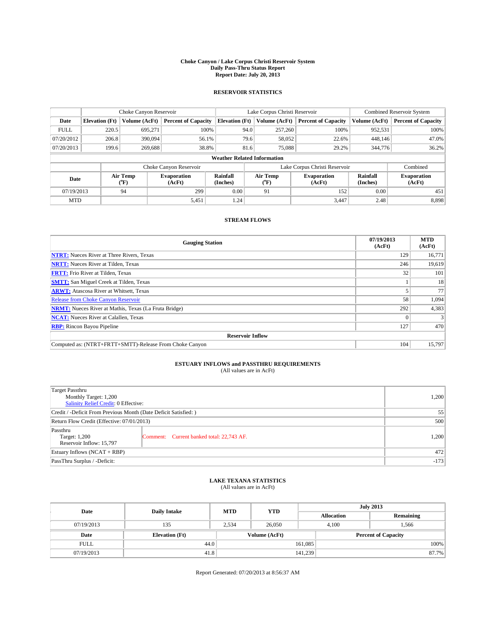#### **Choke Canyon / Lake Corpus Christi Reservoir System Daily Pass-Thru Status Report Report Date: July 20, 2013**

### **RESERVOIR STATISTICS**

|             | Choke Canyon Reservoir |                  |                            |                       | Lake Corpus Christi Reservoir      |                              |                               |                      | <b>Combined Reservoir System</b> |  |  |
|-------------|------------------------|------------------|----------------------------|-----------------------|------------------------------------|------------------------------|-------------------------------|----------------------|----------------------------------|--|--|
| Date        | <b>Elevation</b> (Ft)  | Volume (AcFt)    | <b>Percent of Capacity</b> | <b>Elevation (Ft)</b> | Volume (AcFt)                      |                              | <b>Percent of Capacity</b>    | Volume (AcFt)        | Percent of Capacity              |  |  |
| <b>FULL</b> | 220.5                  | 695,271          | 100%                       |                       | 94.0<br>257,260                    |                              | 100%                          | 952,531              | 100%                             |  |  |
| 07/20/2012  | 206.8                  | 390,094          | 56.1%                      |                       | 79.6                               | 58,052                       | 22.6%                         | 448,146              | 47.0%                            |  |  |
| 07/20/2013  | 199.6                  | 269,688          | 38.8%                      |                       | 81.6                               | 75,088                       | 29.2%                         | 344,776              | $36.2\%$                         |  |  |
|             |                        |                  |                            |                       | <b>Weather Related Information</b> |                              |                               |                      |                                  |  |  |
|             |                        |                  | Choke Canyon Reservoir     |                       |                                    |                              | Lake Corpus Christi Reservoir |                      | Combined                         |  |  |
| Date        |                        | Air Temp<br>(°F) | Evaporation<br>(AcFt)      | Rainfall<br>(Inches)  | Air Temp<br>("F)                   | <b>Evaporation</b><br>(AcFt) |                               | Rainfall<br>(Inches) | <b>Evaporation</b><br>(AcFt)     |  |  |
| 07/19/2013  |                        | 94               | 299                        | 0.00                  | 91                                 |                              | 152                           | 0.00                 | 451                              |  |  |
| <b>MTD</b>  |                        |                  | 5,451                      | 1.24                  |                                    |                              | 3.447                         | 2.48                 | 8.898                            |  |  |

## **STREAM FLOWS**

| <b>Gauging Station</b>                                       | 07/19/2013<br>(AcFt) | <b>MTD</b><br>(AcFt) |  |  |  |
|--------------------------------------------------------------|----------------------|----------------------|--|--|--|
| <b>NTRT:</b> Nueces River at Three Rivers, Texas             | 129                  | 16,771               |  |  |  |
| <b>NRTT:</b> Nueces River at Tilden, Texas                   | 246                  | 19,619               |  |  |  |
| <b>FRTT:</b> Frio River at Tilden, Texas                     | 32                   | 101                  |  |  |  |
| <b>SMTT:</b> San Miguel Creek at Tilden, Texas               |                      | 18                   |  |  |  |
| <b>ARWT:</b> Atascosa River at Whitsett, Texas               |                      | 77                   |  |  |  |
| <b>Release from Choke Canyon Reservoir</b>                   | 58                   | 1,094                |  |  |  |
| <b>NRMT:</b> Nueces River at Mathis, Texas (La Fruta Bridge) | 292                  | 4,383                |  |  |  |
| <b>NCAT:</b> Nueces River at Calallen, Texas                 |                      |                      |  |  |  |
| <b>RBP:</b> Rincon Bayou Pipeline                            | 127                  | 470                  |  |  |  |
| <b>Reservoir Inflow</b>                                      |                      |                      |  |  |  |
| Computed as: (NTRT+FRTT+SMTT)-Release From Choke Canyon      | 104                  | 15,797               |  |  |  |

# **ESTUARY INFLOWS and PASSTHRU REQUIREMENTS**<br>(All values are in AcFt)

| Target Passthru<br>Monthly Target: 1,200<br>Salinity Relief Credit: 0 Effective: |                                           |       |  |  |  |
|----------------------------------------------------------------------------------|-------------------------------------------|-------|--|--|--|
| Credit / -Deficit From Previous Month (Date Deficit Satisfied: )                 |                                           |       |  |  |  |
| Return Flow Credit (Effective: 07/01/2013)                                       |                                           |       |  |  |  |
| Passthru<br>Target: 1,200<br>Reservoir Inflow: 15,797                            | Comment: Current banked total: 22,743 AF. | 1,200 |  |  |  |
| Estuary Inflows (NCAT + RBP)                                                     | 472                                       |       |  |  |  |
| PassThru Surplus / -Deficit:                                                     | $-173$                                    |       |  |  |  |

## **LAKE TEXANA STATISTICS** (All values are in AcFt)

| Date        | <b>Daily Intake</b>   | <b>MTD</b> | <b>YTD</b> | <b>July 2013</b>  |                |                            |  |
|-------------|-----------------------|------------|------------|-------------------|----------------|----------------------------|--|
|             |                       |            |            | <b>Allocation</b> |                | Remaining                  |  |
| 07/19/2013  | 135                   | 2.534      | 26,050     |                   | 4.100<br>1,566 |                            |  |
| Date        | <b>Elevation</b> (Ft) |            |            | Volume (AcFt)     |                | <b>Percent of Capacity</b> |  |
| <b>FULL</b> | 44.0                  |            |            | 161,085           |                | 100%                       |  |
| 07/19/2013  | 41.8                  |            |            | 141,239           |                | 87.7%                      |  |

Report Generated: 07/20/2013 at 8:56:37 AM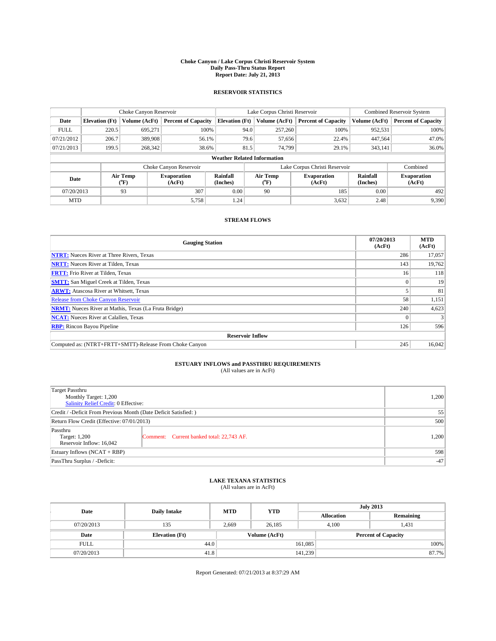#### **Choke Canyon / Lake Corpus Christi Reservoir System Daily Pass-Thru Status Report Report Date: July 21, 2013**

### **RESERVOIR STATISTICS**

|             | Choke Canyon Reservoir |                  |                              |                                    | Lake Corpus Christi Reservoir                    | <b>Combined Reservoir System</b> |                      |                              |
|-------------|------------------------|------------------|------------------------------|------------------------------------|--------------------------------------------------|----------------------------------|----------------------|------------------------------|
| Date        | <b>Elevation</b> (Ft)  | Volume (AcFt)    | <b>Percent of Capacity</b>   | <b>Elevation (Ft)</b>              | Volume (AcFt)                                    | <b>Percent of Capacity</b>       | Volume (AcFt)        | <b>Percent of Capacity</b>   |
| <b>FULL</b> | 220.5                  | 695,271          | 100%                         | 94.0                               | 257,260                                          | 100%                             | 952,531              | 100%                         |
| 07/21/2012  | 206.7                  | 389,908          | 56.1%                        | 79.6                               | 57,656                                           | 22.4%                            | 447,564              | 47.0%                        |
| 07/21/2013  | 199.5                  | 268,342          | 38.6%                        | 81.5                               | 74.799                                           | 29.1%                            | 343,141              | 36.0%                        |
|             |                        |                  |                              | <b>Weather Related Information</b> |                                                  |                                  |                      |                              |
|             |                        |                  | Choke Canyon Reservoir       |                                    |                                                  | Lake Corpus Christi Reservoir    |                      | Combined                     |
| Date        |                        | Air Temp<br>(°F) | <b>Evaporation</b><br>(AcFt) | Rainfall<br>(Inches)               | Air Temp<br><b>Evaporation</b><br>(AcFt)<br>("F) |                                  | Rainfall<br>(Inches) | <b>Evaporation</b><br>(AcFt) |
| 07/20/2013  |                        | 93               | 307                          | 0.00                               | 90                                               | 185                              | 0.00                 | 492                          |
| <b>MTD</b>  |                        |                  | 5,758                        | 1.24                               |                                                  | 3,632                            | 2.48                 | 9,390                        |

## **STREAM FLOWS**

| <b>Gauging Station</b>                                       | 07/20/2013<br>(AcFt) | <b>MTD</b><br>(AcFt) |  |  |  |  |
|--------------------------------------------------------------|----------------------|----------------------|--|--|--|--|
| <b>NTRT:</b> Nueces River at Three Rivers, Texas             | 286                  | 17,057               |  |  |  |  |
| <b>NRTT:</b> Nueces River at Tilden, Texas                   | 143                  | 19,762               |  |  |  |  |
| <b>FRTT:</b> Frio River at Tilden, Texas                     | 16                   | 118                  |  |  |  |  |
| <b>SMTT:</b> San Miguel Creek at Tilden, Texas               |                      | 19                   |  |  |  |  |
| <b>ARWT:</b> Atascosa River at Whitsett, Texas               |                      | 81                   |  |  |  |  |
| Release from Choke Canyon Reservoir                          | 58                   | 1,151                |  |  |  |  |
| <b>NRMT:</b> Nueces River at Mathis, Texas (La Fruta Bridge) | 240                  | 4,623                |  |  |  |  |
| <b>NCAT:</b> Nueces River at Calallen, Texas                 |                      |                      |  |  |  |  |
| <b>RBP:</b> Rincon Bayou Pipeline                            | 126                  | 596                  |  |  |  |  |
| <b>Reservoir Inflow</b>                                      |                      |                      |  |  |  |  |
| Computed as: (NTRT+FRTT+SMTT)-Release From Choke Canyon      | 245                  | 16,042               |  |  |  |  |

# **ESTUARY INFLOWS and PASSTHRU REQUIREMENTS**<br>(All values are in AcFt)

| Target Passthru<br>Monthly Target: 1,200<br>Salinity Relief Credit: 0 Effective: | 1,200                                     |       |  |  |
|----------------------------------------------------------------------------------|-------------------------------------------|-------|--|--|
| Credit / -Deficit From Previous Month (Date Deficit Satisfied: )                 |                                           |       |  |  |
| Return Flow Credit (Effective: 07/01/2013)                                       |                                           |       |  |  |
| Passthru<br>Target: 1,200<br>Reservoir Inflow: 16,042                            | Comment: Current banked total: 22,743 AF. | 1,200 |  |  |
| Estuary Inflows (NCAT + RBP)                                                     | 598                                       |       |  |  |
| PassThru Surplus / -Deficit:                                                     | $-47$                                     |       |  |  |

## **LAKE TEXANA STATISTICS** (All values are in AcFt)

| Date        | <b>Daily Intake</b>   | <b>MTD</b> | <b>YTD</b>    | <b>July 2013</b>  |                            |           |  |
|-------------|-----------------------|------------|---------------|-------------------|----------------------------|-----------|--|
|             |                       |            |               | <b>Allocation</b> |                            | Remaining |  |
| 07/20/2013  | 135                   | 2.669      | 26.185        |                   | 1,431<br>4.100             |           |  |
| Date        | <b>Elevation</b> (Ft) |            | Volume (AcFt) |                   | <b>Percent of Capacity</b> |           |  |
| <b>FULL</b> |                       | 44.0       |               | 161,085           |                            | 100%      |  |
| 07/20/2013  | 41.8                  |            |               | 141,239           |                            | 87.7%     |  |

Report Generated: 07/21/2013 at 8:37:29 AM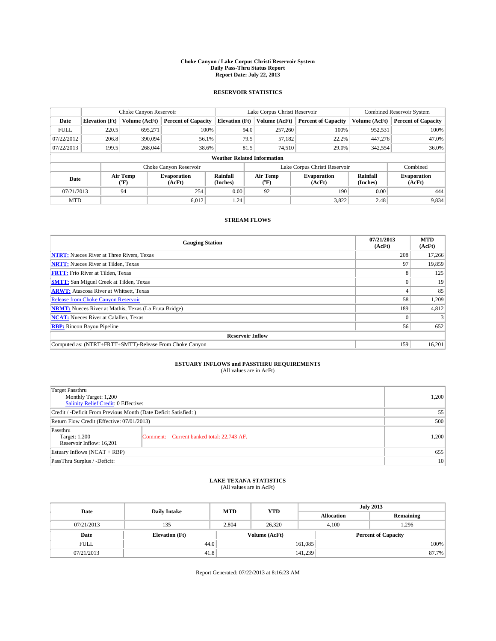#### **Choke Canyon / Lake Corpus Christi Reservoir System Daily Pass-Thru Status Report Report Date: July 22, 2013**

### **RESERVOIR STATISTICS**

|             | Choke Canyon Reservoir                                                                                    |               |                              |                                    | Lake Corpus Christi Reservoir | <b>Combined Reservoir System</b> |               |                            |
|-------------|-----------------------------------------------------------------------------------------------------------|---------------|------------------------------|------------------------------------|-------------------------------|----------------------------------|---------------|----------------------------|
| Date        | <b>Elevation</b> (Ft)                                                                                     | Volume (AcFt) | <b>Percent of Capacity</b>   | <b>Elevation (Ft)</b>              | Volume (AcFt)                 | <b>Percent of Capacity</b>       | Volume (AcFt) | <b>Percent of Capacity</b> |
| <b>FULL</b> | 220.5                                                                                                     | 695.271       | 100%                         | 94.0                               | 257,260                       | 100%                             | 952,531       | 100%                       |
| 07/22/2012  | 206.8                                                                                                     | 390,094       | 56.1%                        | 79.5                               | 57,182                        | 22.2%                            | 447,276       | 47.0%                      |
| 07/22/2013  | 199.5                                                                                                     | 268,044       | 38.6%                        | 81.5                               | 74.510                        | 29.0%                            | 342,554       | 36.0%                      |
|             |                                                                                                           |               |                              | <b>Weather Related Information</b> |                               |                                  |               |                            |
|             |                                                                                                           |               | Choke Canyon Reservoir       |                                    |                               | Lake Corpus Christi Reservoir    |               | Combined                   |
|             | Rainfall<br>Air Temp<br>Air Temp<br><b>Evaporation</b><br>Date<br>(Inches)<br>(°F)<br>(AcFt)<br>$(^{0}F)$ |               | <b>Evaporation</b><br>(AcFt) | Rainfall<br>(Inches)               | <b>Evaporation</b><br>(AcFt)  |                                  |               |                            |
| 07/21/2013  |                                                                                                           | 94            | 254                          | 0.00                               | 92                            | 190                              | 0.00          | 444                        |
| <b>MTD</b>  |                                                                                                           |               | 6.012                        | 1.24                               |                               | 3,822                            | 2.48          | 9,834                      |

## **STREAM FLOWS**

| <b>Gauging Station</b>                                       | 07/21/2013<br>(AcFt) | <b>MTD</b><br>(AcFt) |  |  |  |
|--------------------------------------------------------------|----------------------|----------------------|--|--|--|
| <b>NTRT:</b> Nueces River at Three Rivers, Texas             | 208                  | 17,266               |  |  |  |
| <b>NRTT:</b> Nueces River at Tilden, Texas                   | 97                   | 19,859               |  |  |  |
| <b>FRTT:</b> Frio River at Tilden, Texas                     | 8                    | 125                  |  |  |  |
| <b>SMTT:</b> San Miguel Creek at Tilden, Texas               |                      | 19                   |  |  |  |
| <b>ARWT:</b> Atascosa River at Whitsett, Texas               |                      | 85                   |  |  |  |
| Release from Choke Canyon Reservoir                          | 58                   | 1,209                |  |  |  |
| <b>NRMT:</b> Nueces River at Mathis, Texas (La Fruta Bridge) | 189                  | 4,812                |  |  |  |
| <b>NCAT:</b> Nueces River at Calallen, Texas                 |                      |                      |  |  |  |
| <b>RBP:</b> Rincon Bayou Pipeline                            | 56                   | 652                  |  |  |  |
| <b>Reservoir Inflow</b>                                      |                      |                      |  |  |  |
| Computed as: (NTRT+FRTT+SMTT)-Release From Choke Canyon      | 159                  | 16,201               |  |  |  |

# **ESTUARY INFLOWS and PASSTHRU REQUIREMENTS**<br>(All values are in AcFt)

| Target Passthru<br>Monthly Target: 1,200<br>Salinity Relief Credit: 0 Effective: |                                           |       |  |  |
|----------------------------------------------------------------------------------|-------------------------------------------|-------|--|--|
| Credit / -Deficit From Previous Month (Date Deficit Satisfied: )                 |                                           |       |  |  |
| Return Flow Credit (Effective: 07/01/2013)                                       |                                           |       |  |  |
| Passthru<br>Target: 1,200<br>Reservoir Inflow: 16,201                            | Comment: Current banked total: 22,743 AF. | 1,200 |  |  |
| Estuary Inflows (NCAT + RBP)                                                     |                                           |       |  |  |
| PassThru Surplus / -Deficit:                                                     | 10 <sup>1</sup>                           |       |  |  |

## **LAKE TEXANA STATISTICS** (All values are in AcFt)

| Date        | <b>Daily Intake</b>   | <b>MTD</b> | <b>YTD</b>    | <b>July 2013</b>           |                |           |       |
|-------------|-----------------------|------------|---------------|----------------------------|----------------|-----------|-------|
|             |                       |            |               | <b>Allocation</b>          |                | Remaining |       |
| 07/21/2013  | 135                   | 2.804      | 26,320        |                            | 1,296<br>4.100 |           |       |
| Date        | <b>Elevation</b> (Ft) |            | Volume (AcFt) | <b>Percent of Capacity</b> |                |           |       |
| <b>FULL</b> | 44.0                  |            |               | 161,085                    |                |           | 100%  |
| 07/21/2013  | 41.8                  |            |               | 141,239                    |                |           | 87.7% |

Report Generated: 07/22/2013 at 8:16:23 AM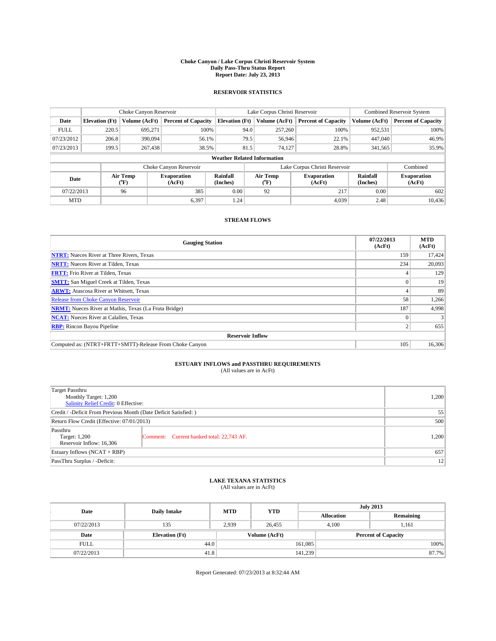#### **Choke Canyon / Lake Corpus Christi Reservoir System Daily Pass-Thru Status Report Report Date: July 23, 2013**

### **RESERVOIR STATISTICS**

|             | Choke Canyon Reservoir |                  |                              |                                    | Lake Corpus Christi Reservoir | <b>Combined Reservoir System</b> |                      |                              |
|-------------|------------------------|------------------|------------------------------|------------------------------------|-------------------------------|----------------------------------|----------------------|------------------------------|
| Date        | <b>Elevation</b> (Ft)  | Volume (AcFt)    | <b>Percent of Capacity</b>   | <b>Elevation (Ft)</b>              | Volume (AcFt)                 | <b>Percent of Capacity</b>       | Volume (AcFt)        | <b>Percent of Capacity</b>   |
| <b>FULL</b> | 220.5                  | 695,271          | 100%                         | 94.0                               | 257,260                       | 100%                             | 952,531              | 100%                         |
| 07/23/2012  | 206.8                  | 390,094          | 56.1%                        | 79.5                               | 56,946                        | 22.1%                            | 447,040              | 46.9%                        |
| 07/23/2013  | 199.5                  | 267,438          | 38.5%                        | 81.5                               | 74.127                        | 28.8%                            | 341,565              | 35.9%                        |
|             |                        |                  |                              | <b>Weather Related Information</b> |                               |                                  |                      |                              |
|             |                        |                  | Choke Canyon Reservoir       |                                    |                               | Lake Corpus Christi Reservoir    |                      | Combined                     |
| Date        |                        | Air Temp<br>(°F) | <b>Evaporation</b><br>(AcFt) | Rainfall<br>(Inches)               | Air Temp<br>("F)              | <b>Evaporation</b><br>(AcFt)     | Rainfall<br>(Inches) | <b>Evaporation</b><br>(AcFt) |
| 07/22/2013  |                        | 96               | 385                          | 0.00                               | 92                            | 217                              | 0.00                 | 602                          |
| <b>MTD</b>  |                        |                  | 6,397                        | 1.24                               |                               | 4.039                            | 2.48                 | 10.436                       |

## **STREAM FLOWS**

| <b>Gauging Station</b>                                       | 07/22/2013<br>(AcFt) | <b>MTD</b><br>(AcFt) |  |  |  |  |
|--------------------------------------------------------------|----------------------|----------------------|--|--|--|--|
| <b>NTRT:</b> Nueces River at Three Rivers, Texas             | 159                  | 17,424               |  |  |  |  |
| <b>NRTT:</b> Nueces River at Tilden, Texas                   | 234                  | 20,093               |  |  |  |  |
| <b>FRTT:</b> Frio River at Tilden, Texas                     |                      | 129                  |  |  |  |  |
| <b>SMTT:</b> San Miguel Creek at Tilden, Texas               |                      | 19                   |  |  |  |  |
| <b>ARWT:</b> Atascosa River at Whitsett, Texas               |                      | 89                   |  |  |  |  |
| <b>Release from Choke Canyon Reservoir</b>                   | 58                   | 1,266                |  |  |  |  |
| <b>NRMT:</b> Nueces River at Mathis, Texas (La Fruta Bridge) | 187                  | 4.998                |  |  |  |  |
| <b>NCAT:</b> Nueces River at Calallen, Texas                 |                      | 3                    |  |  |  |  |
| <b>RBP:</b> Rincon Bayou Pipeline                            | C                    | 655                  |  |  |  |  |
| <b>Reservoir Inflow</b>                                      |                      |                      |  |  |  |  |
| Computed as: (NTRT+FRTT+SMTT)-Release From Choke Canyon      | 105                  | 16,306               |  |  |  |  |

# **ESTUARY INFLOWS and PASSTHRU REQUIREMENTS**<br>(All values are in AcFt)

| Target Passthru<br>Monthly Target: 1,200<br>Salinity Relief Credit: 0 Effective: |                                           |       |  |  |
|----------------------------------------------------------------------------------|-------------------------------------------|-------|--|--|
| Credit / -Deficit From Previous Month (Date Deficit Satisfied: )                 |                                           |       |  |  |
| Return Flow Credit (Effective: 07/01/2013)                                       |                                           |       |  |  |
| Passthru<br>Target: 1,200<br>Reservoir Inflow: 16,306                            | Comment: Current banked total: 22,743 AF. | 1,200 |  |  |
| Estuary Inflows (NCAT + RBP)                                                     |                                           |       |  |  |
| PassThru Surplus / -Deficit:                                                     | 12                                        |       |  |  |

## **LAKE TEXANA STATISTICS** (All values are in AcFt)

| Date        | <b>Daily Intake</b>   | <b>MTD</b> | <b>YTD</b>    | <b>July 2013</b>  |                            |           |  |
|-------------|-----------------------|------------|---------------|-------------------|----------------------------|-----------|--|
|             |                       |            |               | <b>Allocation</b> |                            | Remaining |  |
| 07/22/2013  | 135                   | 2.939      | 26,455        |                   | 4.100<br>1,161             |           |  |
| Date        | <b>Elevation</b> (Ft) |            | Volume (AcFt) |                   | <b>Percent of Capacity</b> |           |  |
| <b>FULL</b> |                       | 44.0       |               | 161,085           |                            | 100%      |  |
| 07/22/2013  | 41.8                  |            |               | 141,239           |                            | 87.7%     |  |

Report Generated: 07/23/2013 at 8:32:44 AM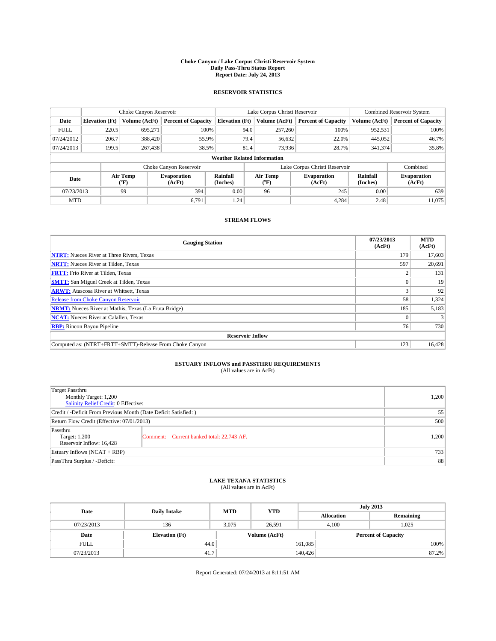#### **Choke Canyon / Lake Corpus Christi Reservoir System Daily Pass-Thru Status Report Report Date: July 24, 2013**

### **RESERVOIR STATISTICS**

|             | Choke Canyon Reservoir |                  |                              |                       | Lake Corpus Christi Reservoir      |  |                                                      |               | <b>Combined Reservoir System</b> |  |  |
|-------------|------------------------|------------------|------------------------------|-----------------------|------------------------------------|--|------------------------------------------------------|---------------|----------------------------------|--|--|
| Date        | <b>Elevation</b> (Ft)  | Volume (AcFt)    | <b>Percent of Capacity</b>   | <b>Elevation (Ft)</b> | Volume (AcFt)                      |  | <b>Percent of Capacity</b>                           | Volume (AcFt) | Percent of Capacity              |  |  |
| <b>FULL</b> | 220.5                  | 695,271          | 100%                         |                       | 94.0<br>257,260                    |  | 100%                                                 | 952,531       | 100%                             |  |  |
| 07/24/2012  | 206.7                  | 388,420          | 55.9%                        |                       | 79.4<br>56,632                     |  | 22.0%                                                | 445,052       | 46.7%                            |  |  |
| 07/24/2013  | 199.5                  | 267,438          | 38.5%                        |                       | 81.4<br>73,936                     |  | 28.7%                                                | 341,374       | 35.8%                            |  |  |
|             |                        |                  |                              |                       | <b>Weather Related Information</b> |  |                                                      |               |                                  |  |  |
|             |                        |                  | Choke Canyon Reservoir       |                       |                                    |  | Lake Corpus Christi Reservoir                        |               | Combined                         |  |  |
| Date        |                        | Air Temp<br>(°F) | <b>Evaporation</b><br>(AcFt) | Rainfall<br>(Inches)  | Air Temp<br>("F)                   |  | Rainfall<br><b>Evaporation</b><br>(Inches)<br>(AcFt) |               | <b>Evaporation</b><br>(AcFt)     |  |  |
| 07/23/2013  |                        | 99               | 394                          | 0.00                  | 96                                 |  | 245                                                  | 0.00          | 639                              |  |  |
| <b>MTD</b>  |                        |                  | 6,791                        | 1.24                  |                                    |  | 4,284                                                | 2.48          | 11,075                           |  |  |

## **STREAM FLOWS**

| <b>Gauging Station</b>                                       | 07/23/2013<br>(AcFt) | <b>MTD</b><br>(AcFt) |  |  |  |  |
|--------------------------------------------------------------|----------------------|----------------------|--|--|--|--|
| <b>NTRT:</b> Nueces River at Three Rivers, Texas             | 179                  | 17,603               |  |  |  |  |
| <b>NRTT:</b> Nueces River at Tilden, Texas                   | 597                  | 20,691               |  |  |  |  |
| <b>FRTT:</b> Frio River at Tilden, Texas                     |                      | 131                  |  |  |  |  |
| <b>SMTT:</b> San Miguel Creek at Tilden, Texas               |                      | 19                   |  |  |  |  |
| <b>ARWT:</b> Atascosa River at Whitsett, Texas               |                      | 92                   |  |  |  |  |
| <b>Release from Choke Canyon Reservoir</b>                   | 58                   | 1,324                |  |  |  |  |
| <b>NRMT:</b> Nueces River at Mathis, Texas (La Fruta Bridge) | 185                  | 5,183                |  |  |  |  |
| <b>NCAT:</b> Nueces River at Calallen, Texas                 |                      |                      |  |  |  |  |
| <b>RBP:</b> Rincon Bayou Pipeline                            | 76 <sub>1</sub>      | 730                  |  |  |  |  |
| <b>Reservoir Inflow</b>                                      |                      |                      |  |  |  |  |
| Computed as: (NTRT+FRTT+SMTT)-Release From Choke Canyon      | 123                  | 16,428               |  |  |  |  |

# **ESTUARY INFLOWS and PASSTHRU REQUIREMENTS**<br>(All values are in AcFt)

| <b>Target Passthru</b><br>Monthly Target: 1,200<br>Salinity Relief Credit: 0 Effective: |                                           |       |  |  |
|-----------------------------------------------------------------------------------------|-------------------------------------------|-------|--|--|
| Credit / -Deficit From Previous Month (Date Deficit Satisfied: )                        |                                           |       |  |  |
| Return Flow Credit (Effective: 07/01/2013)                                              |                                           |       |  |  |
| Passthru<br>Target: 1,200<br>Reservoir Inflow: 16,428                                   | Comment: Current banked total: 22,743 AF. | 1,200 |  |  |
| Estuary Inflows $(NCAT + RBP)$                                                          | 733                                       |       |  |  |
| PassThru Surplus / -Deficit:                                                            | 88                                        |       |  |  |

## **LAKE TEXANA STATISTICS** (All values are in AcFt)

| Date        | <b>Daily Intake</b>   | <b>MTD</b> | <b>YTD</b>    | <b>July 2013</b>  |                            |           |  |
|-------------|-----------------------|------------|---------------|-------------------|----------------------------|-----------|--|
|             |                       |            |               | <b>Allocation</b> |                            | Remaining |  |
| 07/23/2013  | 136                   | 3.075      | 26.591        |                   | 1,025<br>4.100             |           |  |
| Date        | <b>Elevation</b> (Ft) |            | Volume (AcFt) |                   | <b>Percent of Capacity</b> |           |  |
| <b>FULL</b> | 44.0                  |            |               | 161,085           |                            | 100%      |  |
| 07/23/2013  | 41.7                  |            |               | 140,426           |                            | 87.2%     |  |

Report Generated: 07/24/2013 at 8:11:51 AM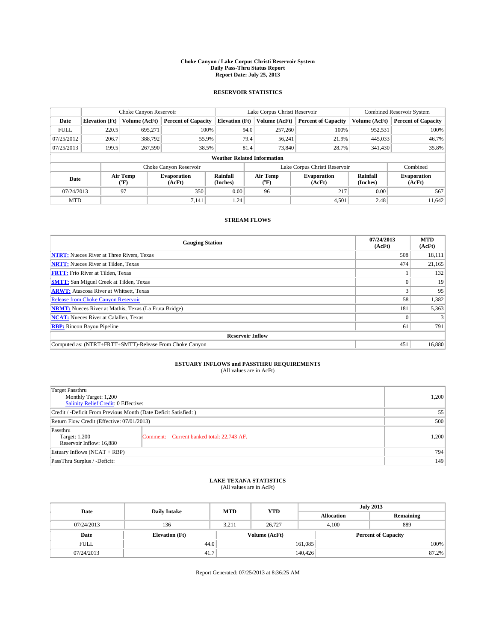#### **Choke Canyon / Lake Corpus Christi Reservoir System Daily Pass-Thru Status Report Report Date: July 25, 2013**

### **RESERVOIR STATISTICS**

|             |                                    | Choke Canyon Reservoir |                              |                       | Lake Corpus Christi Reservoir | <b>Combined Reservoir System</b> |                      |                              |  |  |
|-------------|------------------------------------|------------------------|------------------------------|-----------------------|-------------------------------|----------------------------------|----------------------|------------------------------|--|--|
| Date        | <b>Elevation</b> (Ft)              | Volume (AcFt)          | <b>Percent of Capacity</b>   | <b>Elevation (Ft)</b> | Volume (AcFt)                 | <b>Percent of Capacity</b>       | Volume (AcFt)        | <b>Percent of Capacity</b>   |  |  |
| <b>FULL</b> | 220.5                              | 695,271                | 100%                         | 94.0                  | 257,260                       | 100%                             | 952,531              | 100%                         |  |  |
| 07/25/2012  | 206.7                              | 388,792                | 55.9%                        | 79.4                  | 56,241                        | 21.9%                            | 445,033              | 46.7%                        |  |  |
| 07/25/2013  | 199.5                              | 267,590                | 38.5%                        | 81.4                  | 73,840                        | 28.7%                            | 341,430              | 35.8%                        |  |  |
|             | <b>Weather Related Information</b> |                        |                              |                       |                               |                                  |                      |                              |  |  |
|             |                                    |                        | Choke Canyon Reservoir       |                       |                               | Lake Corpus Christi Reservoir    |                      | Combined                     |  |  |
| Date        |                                    | Air Temp<br>(°F)       | <b>Evaporation</b><br>(AcFt) | Rainfall<br>(Inches)  | Air Temp<br>(°F)              | <b>Evaporation</b><br>(AcFt)     | Rainfall<br>(Inches) | <b>Evaporation</b><br>(AcFt) |  |  |
|             | 97<br>07/24/2013                   |                        | 350                          | 0.00                  | 96                            | 217                              | 0.00                 | 567                          |  |  |
| <b>MTD</b>  |                                    |                        | 7,141                        | 1.24                  |                               | 4,501                            | 2.48                 | 11.642                       |  |  |

## **STREAM FLOWS**

| <b>Gauging Station</b>                                       | 07/24/2013<br>(AcFt) | <b>MTD</b><br>(AcFt) |  |  |  |  |
|--------------------------------------------------------------|----------------------|----------------------|--|--|--|--|
| <b>NTRT:</b> Nueces River at Three Rivers, Texas             | 508                  | 18,111               |  |  |  |  |
| <b>NRTT:</b> Nueces River at Tilden, Texas                   | 474                  | 21,165               |  |  |  |  |
| <b>FRTT:</b> Frio River at Tilden, Texas                     |                      | 132                  |  |  |  |  |
| <b>SMTT:</b> San Miguel Creek at Tilden, Texas               |                      | 19                   |  |  |  |  |
| <b>ARWT:</b> Atascosa River at Whitsett, Texas               |                      | 95                   |  |  |  |  |
| <b>Release from Choke Canyon Reservoir</b>                   | 58                   | 1,382                |  |  |  |  |
| <b>NRMT:</b> Nueces River at Mathis, Texas (La Fruta Bridge) | 181                  | 5,363                |  |  |  |  |
| <b>NCAT:</b> Nueces River at Calallen, Texas                 |                      |                      |  |  |  |  |
| <b>RBP:</b> Rincon Bayou Pipeline                            | 61                   | 791                  |  |  |  |  |
| <b>Reservoir Inflow</b>                                      |                      |                      |  |  |  |  |
| Computed as: (NTRT+FRTT+SMTT)-Release From Choke Canyon      | 451                  | 16,880               |  |  |  |  |

# **ESTUARY INFLOWS and PASSTHRU REQUIREMENTS**<br>(All values are in AcFt)

| Target Passthru<br>Monthly Target: 1,200<br>Salinity Relief Credit: 0 Effective: | 1,200                                     |       |  |  |
|----------------------------------------------------------------------------------|-------------------------------------------|-------|--|--|
| Credit / -Deficit From Previous Month (Date Deficit Satisfied: )                 |                                           |       |  |  |
| Return Flow Credit (Effective: 07/01/2013)                                       |                                           |       |  |  |
| Passthru<br>Target: 1,200<br>Reservoir Inflow: 16,880                            | Comment: Current banked total: 22,743 AF. | 1,200 |  |  |
| Estuary Inflows (NCAT + RBP)                                                     |                                           |       |  |  |
| PassThru Surplus / -Deficit:                                                     | 149                                       |       |  |  |

## **LAKE TEXANA STATISTICS** (All values are in AcFt)

| Date        | <b>Daily Intake</b>   | <b>MTD</b> | <b>YTD</b>    | <b>July 2013</b>  |                            |           |  |
|-------------|-----------------------|------------|---------------|-------------------|----------------------------|-----------|--|
|             |                       |            |               | <b>Allocation</b> |                            | Remaining |  |
| 07/24/2013  | 136                   | 3.211      | 26,727        |                   | 889<br>4.100               |           |  |
| Date        | <b>Elevation</b> (Ft) |            | Volume (AcFt) |                   | <b>Percent of Capacity</b> |           |  |
| <b>FULL</b> | 44.0                  |            |               | 161,085           |                            | 100%      |  |
| 07/24/2013  | 41.7                  |            |               | 140,426           |                            | 87.2%     |  |

Report Generated: 07/25/2013 at 8:36:25 AM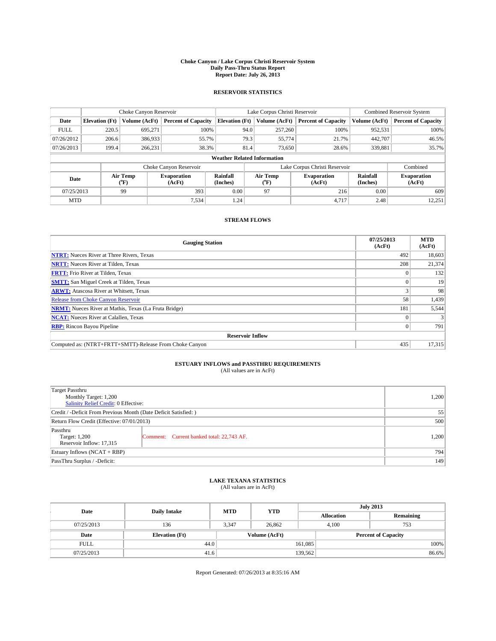#### **Choke Canyon / Lake Corpus Christi Reservoir System Daily Pass-Thru Status Report Report Date: July 26, 2013**

### **RESERVOIR STATISTICS**

|             |                                    | Choke Canyon Reservoir |                              |                       | Lake Corpus Christi Reservoir | <b>Combined Reservoir System</b> |                      |                              |  |  |
|-------------|------------------------------------|------------------------|------------------------------|-----------------------|-------------------------------|----------------------------------|----------------------|------------------------------|--|--|
| Date        | <b>Elevation</b> (Ft)              | Volume (AcFt)          | <b>Percent of Capacity</b>   | <b>Elevation</b> (Ft) | Volume (AcFt)                 | <b>Percent of Capacity</b>       | Volume (AcFt)        | <b>Percent of Capacity</b>   |  |  |
| <b>FULL</b> | 220.5                              | 695,271                | 100%                         | 94.0                  | 257,260                       | 100%                             | 952,531              | 100%                         |  |  |
| 07/26/2012  | 206.6                              | 386,933                | 55.7%                        | 79.3                  | 55,774                        | 21.7%                            | 442,707              | 46.5%                        |  |  |
| 07/26/2013  | 199.4                              | 266.231                | 38.3%                        | 81.4                  | 73,650                        | 28.6%                            | 339,881              | 35.7%                        |  |  |
|             | <b>Weather Related Information</b> |                        |                              |                       |                               |                                  |                      |                              |  |  |
|             |                                    |                        | Choke Canyon Reservoir       |                       |                               | Lake Corpus Christi Reservoir    |                      | Combined                     |  |  |
| Date        |                                    | Air Temp<br>(°F)       | <b>Evaporation</b><br>(AcFt) | Rainfall<br>(Inches)  | Air Temp<br>(°F)              | <b>Evaporation</b><br>(AcFt)     | Rainfall<br>(Inches) | <b>Evaporation</b><br>(AcFt) |  |  |
|             | 07/25/2013<br>99                   |                        | 393                          | 0.00                  | 97                            | 216                              | 0.00                 | 609                          |  |  |
| <b>MTD</b>  |                                    |                        | 7,534                        | 1.24                  |                               | 4,717                            | 2.48                 | 12,251                       |  |  |

## **STREAM FLOWS**

| <b>Gauging Station</b>                                       | 07/25/2013<br>(AcFt) | <b>MTD</b><br>(AcFt) |  |  |  |  |
|--------------------------------------------------------------|----------------------|----------------------|--|--|--|--|
| <b>NTRT:</b> Nueces River at Three Rivers, Texas             | 492                  | 18,603               |  |  |  |  |
| <b>NRTT:</b> Nueces River at Tilden, Texas                   | 208                  | 21,374               |  |  |  |  |
| <b>FRTT:</b> Frio River at Tilden, Texas                     |                      | 132                  |  |  |  |  |
| <b>SMTT:</b> San Miguel Creek at Tilden, Texas               |                      | 19                   |  |  |  |  |
| <b>ARWT:</b> Atascosa River at Whitsett, Texas               |                      | 98                   |  |  |  |  |
| Release from Choke Canyon Reservoir                          | 58                   | 1,439                |  |  |  |  |
| <b>NRMT:</b> Nueces River at Mathis, Texas (La Fruta Bridge) | 181                  | 5,544                |  |  |  |  |
| <b>NCAT:</b> Nueces River at Calallen, Texas                 |                      |                      |  |  |  |  |
| <b>RBP:</b> Rincon Bayou Pipeline                            | 0                    | 791                  |  |  |  |  |
| <b>Reservoir Inflow</b>                                      |                      |                      |  |  |  |  |
| Computed as: (NTRT+FRTT+SMTT)-Release From Choke Canyon      | 435                  | 17,315               |  |  |  |  |

# **ESTUARY INFLOWS and PASSTHRU REQUIREMENTS**<br>(All values are in AcFt)

| Target Passthru<br>Monthly Target: 1,200<br>Salinity Relief Credit: 0 Effective: | 1,200                                     |       |  |  |
|----------------------------------------------------------------------------------|-------------------------------------------|-------|--|--|
| Credit / -Deficit From Previous Month (Date Deficit Satisfied: )                 |                                           |       |  |  |
| Return Flow Credit (Effective: 07/01/2013)                                       |                                           |       |  |  |
| Passthru<br>Target: 1,200<br>Reservoir Inflow: 17,315                            | Comment: Current banked total: 22,743 AF. | 1,200 |  |  |
| Estuary Inflows (NCAT + RBP)                                                     | 794                                       |       |  |  |
| PassThru Surplus / -Deficit:                                                     | 149                                       |       |  |  |

## **LAKE TEXANA STATISTICS** (All values are in AcFt)

| Date        | <b>Daily Intake</b>   | <b>MTD</b> | <b>YTD</b>    | <b>July 2013</b>  |                            |           |  |
|-------------|-----------------------|------------|---------------|-------------------|----------------------------|-----------|--|
|             |                       |            |               | <b>Allocation</b> |                            | Remaining |  |
| 07/25/2013  | 136                   | 3.347      | 26,862        |                   | 753<br>4.100               |           |  |
| Date        | <b>Elevation</b> (Ft) |            | Volume (AcFt) |                   | <b>Percent of Capacity</b> |           |  |
| <b>FULL</b> | 44.0                  |            |               | 161,085           |                            | 100%      |  |
| 07/25/2013  | 41.6                  |            |               | 139,562           |                            | 86.6%     |  |

Report Generated: 07/26/2013 at 8:35:16 AM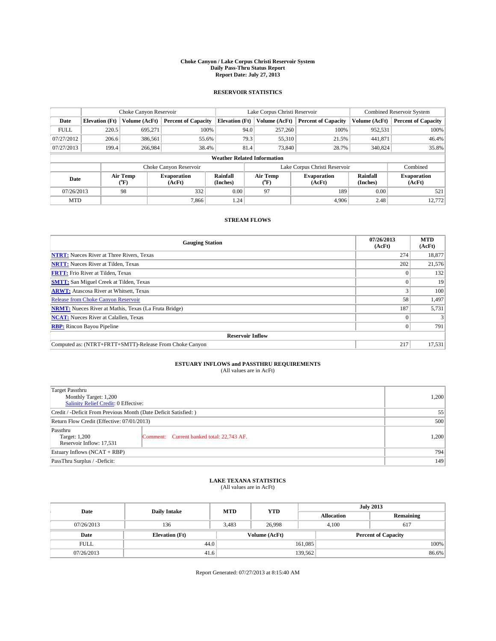#### **Choke Canyon / Lake Corpus Christi Reservoir System Daily Pass-Thru Status Report Report Date: July 27, 2013**

### **RESERVOIR STATISTICS**

|             |                                    | Choke Canyon Reservoir |                              |                       | Lake Corpus Christi Reservoir | <b>Combined Reservoir System</b> |                      |                              |  |
|-------------|------------------------------------|------------------------|------------------------------|-----------------------|-------------------------------|----------------------------------|----------------------|------------------------------|--|
| Date        | <b>Elevation</b> (Ft)              | Volume (AcFt)          | <b>Percent of Capacity</b>   | <b>Elevation (Ft)</b> | Volume (AcFt)                 | <b>Percent of Capacity</b>       | Volume (AcFt)        | <b>Percent of Capacity</b>   |  |
| <b>FULL</b> | 220.5                              | 695,271                | 100%                         | 94.0                  | 257,260                       | 100%                             | 952,531              | 100%                         |  |
| 07/27/2012  | 206.6                              | 386,561                | 55.6%                        | 79.3                  | 55,310                        | 21.5%                            | 441,871              | 46.4%                        |  |
| 07/27/2013  | 199.4                              | 266,984                | 38.4%                        | 81.4                  | 73,840                        | 28.7%                            | 340,824              | 35.8%                        |  |
|             | <b>Weather Related Information</b> |                        |                              |                       |                               |                                  |                      |                              |  |
|             |                                    |                        | Choke Canyon Reservoir       |                       |                               | Lake Corpus Christi Reservoir    |                      | Combined                     |  |
| Date        |                                    | Air Temp<br>(°F)       | <b>Evaporation</b><br>(AcFt) | Rainfall<br>(Inches)  | Air Temp<br>(°F)              | <b>Evaporation</b><br>(AcFt)     | Rainfall<br>(Inches) | <b>Evaporation</b><br>(AcFt) |  |
| 07/26/2013  |                                    | 98                     | 332                          | 0.00                  | 97                            | 189                              |                      | 521                          |  |
| <b>MTD</b>  |                                    |                        | 7.866                        | 1.24                  |                               | 4.906                            | 2.48                 | 12.772                       |  |

## **STREAM FLOWS**

| <b>Gauging Station</b>                                       | 07/26/2013<br>(AcFt) | <b>MTD</b><br>(AcFt) |  |  |  |  |
|--------------------------------------------------------------|----------------------|----------------------|--|--|--|--|
| <b>NTRT:</b> Nueces River at Three Rivers, Texas             | 274                  | 18,877               |  |  |  |  |
| <b>NRTT:</b> Nueces River at Tilden, Texas                   | 202                  | 21,576               |  |  |  |  |
| <b>FRTT:</b> Frio River at Tilden, Texas                     |                      | 132                  |  |  |  |  |
| <b>SMTT:</b> San Miguel Creek at Tilden, Texas               |                      | 19                   |  |  |  |  |
| <b>ARWT:</b> Atascosa River at Whitsett, Texas               |                      | 100                  |  |  |  |  |
| <b>Release from Choke Canyon Reservoir</b>                   | 58                   | 1,497                |  |  |  |  |
| <b>NRMT:</b> Nueces River at Mathis, Texas (La Fruta Bridge) | 187                  | 5,731                |  |  |  |  |
| <b>NCAT:</b> Nueces River at Calallen, Texas                 |                      |                      |  |  |  |  |
| <b>RBP:</b> Rincon Bayou Pipeline                            | $\Omega$             | 791                  |  |  |  |  |
| <b>Reservoir Inflow</b>                                      |                      |                      |  |  |  |  |
| Computed as: (NTRT+FRTT+SMTT)-Release From Choke Canyon      | 217                  | 17,531               |  |  |  |  |

# **ESTUARY INFLOWS and PASSTHRU REQUIREMENTS**<br>(All values are in AcFt)

| Target Passthru<br>Monthly Target: 1,200<br>Salinity Relief Credit: 0 Effective: |                                           |       |  |  |
|----------------------------------------------------------------------------------|-------------------------------------------|-------|--|--|
| Credit / -Deficit From Previous Month (Date Deficit Satisfied: )                 |                                           |       |  |  |
| Return Flow Credit (Effective: 07/01/2013)                                       | 500                                       |       |  |  |
| Passthru<br>Target: 1,200<br>Reservoir Inflow: 17,531                            | Comment: Current banked total: 22,743 AF. | 1,200 |  |  |
| Estuary Inflows (NCAT + RBP)                                                     | 794                                       |       |  |  |
| PassThru Surplus / -Deficit:                                                     | 149                                       |       |  |  |

## **LAKE TEXANA STATISTICS** (All values are in AcFt)

| Date        | <b>Daily Intake</b>   | <b>MTD</b> | <b>YTD</b>    | <b>July 2013</b>  |                            |           |  |
|-------------|-----------------------|------------|---------------|-------------------|----------------------------|-----------|--|
|             |                       |            |               | <b>Allocation</b> |                            | Remaining |  |
| 07/26/2013  | 136                   | 3.483      | 26,998        |                   | 4.100<br>617               |           |  |
| Date        | <b>Elevation</b> (Ft) |            | Volume (AcFt) |                   | <b>Percent of Capacity</b> |           |  |
| <b>FULL</b> | 44.0                  |            |               | 161,085           |                            | 100%      |  |
| 07/26/2013  | 41.6                  |            |               | 139,562           |                            | 86.6%     |  |

Report Generated: 07/27/2013 at 8:15:40 AM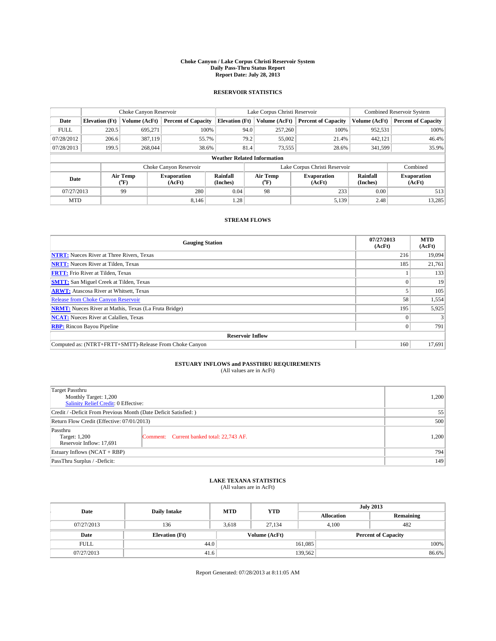#### **Choke Canyon / Lake Corpus Christi Reservoir System Daily Pass-Thru Status Report Report Date: July 28, 2013**

### **RESERVOIR STATISTICS**

|             | Choke Canyon Reservoir             |                  | Lake Corpus Christi Reservoir |                       |      |                       | <b>Combined Reservoir System</b> |                      |                              |
|-------------|------------------------------------|------------------|-------------------------------|-----------------------|------|-----------------------|----------------------------------|----------------------|------------------------------|
| Date        | <b>Elevation</b> (Ft)              | Volume (AcFt)    | <b>Percent of Capacity</b>    | <b>Elevation (Ft)</b> |      | Volume (AcFt)         | <b>Percent of Capacity</b>       | Volume (AcFt)        | <b>Percent of Capacity</b>   |
| <b>FULL</b> | 220.5                              | 695,271          | 100%                          |                       | 94.0 | 257,260               | 100%                             | 952,531              | 100%                         |
| 07/28/2012  | 206.6                              | 387,119          | 55.7%                         |                       | 79.2 | 55,002                | 21.4%                            | 442,121              | 46.4%                        |
| 07/28/2013  | 199.5                              | 268,044          | 38.6%                         |                       | 81.4 | 73,555                | 28.6%                            | 341,599              | 35.9%                        |
|             | <b>Weather Related Information</b> |                  |                               |                       |      |                       |                                  |                      |                              |
|             |                                    |                  | Choke Canyon Reservoir        |                       |      |                       | Lake Corpus Christi Reservoir    |                      | Combined                     |
| Date        |                                    | Air Temp<br>(°F) | <b>Evaporation</b><br>(AcFt)  | Rainfall<br>(Inches)  |      | Air Temp<br>$(^{0}F)$ | <b>Evaporation</b><br>(AcFt)     | Rainfall<br>(Inches) | <b>Evaporation</b><br>(AcFt) |
| 07/27/2013  |                                    | 99               | 280                           | 0.04                  |      | 98                    | 233                              | 0.00                 | 513                          |
| <b>MTD</b>  |                                    |                  | 8.146                         | 1.28                  |      |                       | 5,139                            | 2.48                 | 13,285                       |

## **STREAM FLOWS**

| <b>Gauging Station</b>                                       | 07/27/2013<br>(AcFt) | <b>MTD</b><br>(AcFt) |  |  |  |
|--------------------------------------------------------------|----------------------|----------------------|--|--|--|
| <b>NTRT:</b> Nueces River at Three Rivers, Texas             | 216                  | 19,094               |  |  |  |
| <b>NRTT:</b> Nueces River at Tilden, Texas                   | 185                  | 21,761               |  |  |  |
| <b>FRTT:</b> Frio River at Tilden, Texas                     |                      | 133                  |  |  |  |
| <b>SMTT:</b> San Miguel Creek at Tilden, Texas               |                      | 19                   |  |  |  |
| <b>ARWT:</b> Atascosa River at Whitsett, Texas               |                      | 105                  |  |  |  |
| <b>Release from Choke Canyon Reservoir</b>                   | 58                   | 1,554                |  |  |  |
| <b>NRMT:</b> Nueces River at Mathis, Texas (La Fruta Bridge) | 195                  | 5,925                |  |  |  |
| <b>NCAT:</b> Nueces River at Calallen, Texas                 |                      |                      |  |  |  |
| <b>RBP:</b> Rincon Bayou Pipeline                            | $\Omega$             | 791                  |  |  |  |
| <b>Reservoir Inflow</b>                                      |                      |                      |  |  |  |
| Computed as: (NTRT+FRTT+SMTT)-Release From Choke Canyon      | 160                  | 17,691               |  |  |  |

# **ESTUARY INFLOWS and PASSTHRU REQUIREMENTS**<br>(All values are in AcFt)

| Target Passthru<br>Monthly Target: 1,200<br>Salinity Relief Credit: 0 Effective: | 1,200                                     |       |  |  |
|----------------------------------------------------------------------------------|-------------------------------------------|-------|--|--|
| Credit / -Deficit From Previous Month (Date Deficit Satisfied: )                 |                                           |       |  |  |
| Return Flow Credit (Effective: 07/01/2013)                                       | 500                                       |       |  |  |
| Passthru<br>Target: 1,200<br>Reservoir Inflow: 17,691                            | Comment: Current banked total: 22,743 AF. | 1,200 |  |  |
| Estuary Inflows (NCAT + RBP)                                                     | 794                                       |       |  |  |
| PassThru Surplus / -Deficit:                                                     | 149                                       |       |  |  |

## **LAKE TEXANA STATISTICS** (All values are in AcFt)

| Date        | <b>Daily Intake</b>   | <b>MTD</b>    | <b>YTD</b> | <b>July 2013</b>  |                            |           |  |
|-------------|-----------------------|---------------|------------|-------------------|----------------------------|-----------|--|
|             |                       |               |            | <b>Allocation</b> |                            | Remaining |  |
| 07/27/2013  | 136                   | 3.618         | 27.134     |                   | 482<br>4.100               |           |  |
| Date        | <b>Elevation</b> (Ft) | Volume (AcFt) |            |                   | <b>Percent of Capacity</b> |           |  |
| <b>FULL</b> | 44.0                  |               |            | 161,085           |                            | 100%      |  |
| 07/27/2013  | 41.6                  |               |            | 139,562           |                            | 86.6%     |  |

Report Generated: 07/28/2013 at 8:11:05 AM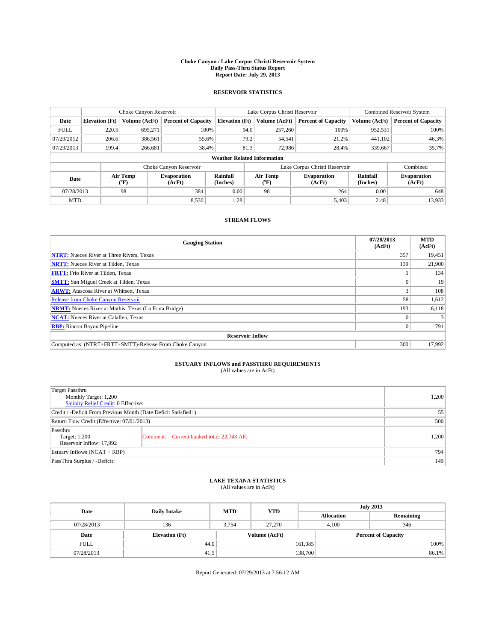#### **Choke Canyon / Lake Corpus Christi Reservoir System Daily Pass-Thru Status Report Report Date: July 29, 2013**

### **RESERVOIR STATISTICS**

|             |                                    | Choke Canyon Reservoir |                              |                       | Lake Corpus Christi Reservoir | <b>Combined Reservoir System</b> |                      |                              |  |
|-------------|------------------------------------|------------------------|------------------------------|-----------------------|-------------------------------|----------------------------------|----------------------|------------------------------|--|
| Date        | <b>Elevation</b> (Ft)              | Volume (AcFt)          | <b>Percent of Capacity</b>   | <b>Elevation (Ft)</b> | Volume (AcFt)                 | <b>Percent of Capacity</b>       | Volume (AcFt)        | <b>Percent of Capacity</b>   |  |
| <b>FULL</b> | 220.5                              | 695,271                | 100%                         | 94.0                  | 257,260                       | 100%                             | 952,531              | 100%                         |  |
| 07/29/2012  | 206.6                              | 386,561                | 55.6%                        | 79.2                  | 54,541                        | 21.2%                            | 441,102              | 46.3%                        |  |
| 07/29/2013  | 199.4                              | 266.681                | 38.4%                        | 81.3                  | 72,986                        | 28.4%                            | 339,667              | 35.7%                        |  |
|             | <b>Weather Related Information</b> |                        |                              |                       |                               |                                  |                      |                              |  |
|             |                                    |                        | Choke Canyon Reservoir       |                       |                               | Lake Corpus Christi Reservoir    |                      | Combined                     |  |
| Date        |                                    | Air Temp<br>(°F)       | <b>Evaporation</b><br>(AcFt) | Rainfall<br>(Inches)  | Air Temp<br>("F)              | <b>Evaporation</b><br>(AcFt)     | Rainfall<br>(Inches) | <b>Evaporation</b><br>(AcFt) |  |
| 07/28/2013  |                                    | 98                     | 384                          | 0.00<br>98            |                               | 264                              | 0.00                 | 648                          |  |
| <b>MTD</b>  |                                    |                        | 8,530                        | 1.28                  |                               | 5,403                            | 2.48                 | 13,933                       |  |

## **STREAM FLOWS**

| <b>Gauging Station</b>                                       | 07/28/2013<br>(AcFt) | <b>MTD</b><br>(AcFt) |  |  |  |  |
|--------------------------------------------------------------|----------------------|----------------------|--|--|--|--|
| <b>NTRT:</b> Nueces River at Three Rivers, Texas             | 357                  | 19,451               |  |  |  |  |
| <b>NRTT:</b> Nueces River at Tilden, Texas                   | 139                  | 21,900               |  |  |  |  |
| <b>FRTT:</b> Frio River at Tilden, Texas                     |                      | 134                  |  |  |  |  |
| <b>SMTT:</b> San Miguel Creek at Tilden, Texas               |                      | 19                   |  |  |  |  |
| <b>ARWT:</b> Atascosa River at Whitsett, Texas               |                      | 108                  |  |  |  |  |
| Release from Choke Canyon Reservoir                          | 58                   | 1,612                |  |  |  |  |
| <b>NRMT:</b> Nueces River at Mathis, Texas (La Fruta Bridge) | 193                  | 6,118                |  |  |  |  |
| <b>NCAT:</b> Nueces River at Calallen, Texas                 |                      |                      |  |  |  |  |
| <b>RBP:</b> Rincon Bayou Pipeline                            | 0                    | 791                  |  |  |  |  |
| <b>Reservoir Inflow</b>                                      |                      |                      |  |  |  |  |
| Computed as: (NTRT+FRTT+SMTT)-Release From Choke Canyon      | 300                  | 17,992               |  |  |  |  |

# **ESTUARY INFLOWS and PASSTHRU REQUIREMENTS**<br>(All values are in AcFt)

| Target Passthru<br>Monthly Target: 1,200<br>Salinity Relief Credit: 0 Effective: |                                           |       |  |  |
|----------------------------------------------------------------------------------|-------------------------------------------|-------|--|--|
| Credit / -Deficit From Previous Month (Date Deficit Satisfied: )                 |                                           |       |  |  |
| Return Flow Credit (Effective: 07/01/2013)                                       |                                           |       |  |  |
| Passthru<br>Target: 1,200<br>Reservoir Inflow: 17,992                            | Comment: Current banked total: 22,743 AF. | 1,200 |  |  |
| Estuary Inflows (NCAT + RBP)                                                     |                                           |       |  |  |
| PassThru Surplus / -Deficit:                                                     | 149                                       |       |  |  |

## **LAKE TEXANA STATISTICS** (All values are in AcFt)

| Date        | <b>Daily Intake</b>   | <b>MTD</b>    | <b>YTD</b> | <b>July 2013</b>           |              |           |  |
|-------------|-----------------------|---------------|------------|----------------------------|--------------|-----------|--|
|             |                       |               |            | <b>Allocation</b>          |              | Remaining |  |
| 07/28/2013  | 136                   | 3.754         | 27,270     |                            | 346<br>4.100 |           |  |
| Date        | <b>Elevation</b> (Ft) | Volume (AcFt) |            | <b>Percent of Capacity</b> |              |           |  |
| <b>FULL</b> | 44.0                  |               |            | 161,085                    |              | 100%      |  |
| 07/28/2013  | 41.5                  |               |            | 138,700                    |              | 86.1%     |  |

Report Generated: 07/29/2013 at 7:56:12 AM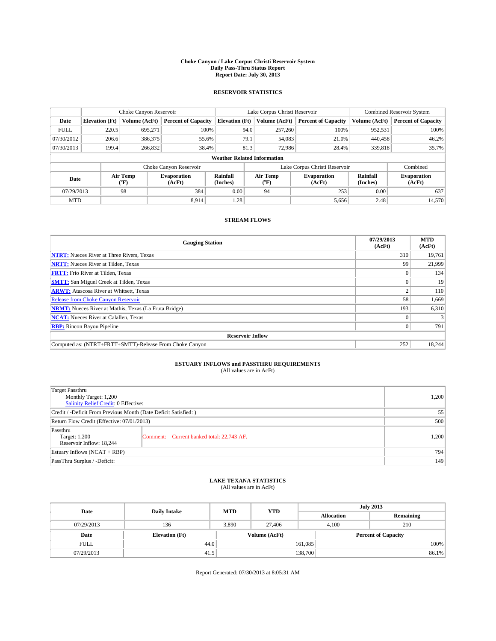#### **Choke Canyon / Lake Corpus Christi Reservoir System Daily Pass-Thru Status Report Report Date: July 30, 2013**

### **RESERVOIR STATISTICS**

|             | Choke Canyon Reservoir             |                  |                            |                       | Lake Corpus Christi Reservoir | <b>Combined Reservoir System</b> |                      |                              |  |
|-------------|------------------------------------|------------------|----------------------------|-----------------------|-------------------------------|----------------------------------|----------------------|------------------------------|--|
| Date        | <b>Elevation</b> (Ft)              | Volume (AcFt)    | <b>Percent of Capacity</b> | <b>Elevation (Ft)</b> | Volume (AcFt)                 | <b>Percent of Capacity</b>       | Volume (AcFt)        | Percent of Capacity          |  |
| <b>FULL</b> | 220.5                              | 695,271          | 100%                       |                       | 94.0<br>257,260               | 100%                             | 952,531              | 100%                         |  |
| 07/30/2012  | 206.6                              | 386,375          | 55.6%                      |                       | 79.1<br>54,083                | 21.0%                            | 440,458              | $46.2\%$                     |  |
| 07/30/2013  | 199.4                              | 266,832          | 38.4%                      |                       | 81.3<br>72,986                | 28.4%                            | 339,818              | 35.7%                        |  |
|             | <b>Weather Related Information</b> |                  |                            |                       |                               |                                  |                      |                              |  |
|             |                                    |                  | Choke Canyon Reservoir     |                       |                               | Lake Corpus Christi Reservoir    |                      | Combined                     |  |
| Date        |                                    | Air Temp<br>(°F) | Evaporation<br>(AcFt)      | Rainfall<br>(Inches)  | Air Temp<br>("F)              | <b>Evaporation</b><br>(AcFt)     | Rainfall<br>(Inches) | <b>Evaporation</b><br>(AcFt) |  |
| 07/29/2013  |                                    | 98               | 384                        | 0.00                  | 94                            | 253                              | 0.00                 | 637                          |  |
| <b>MTD</b>  |                                    |                  | 8.914                      | 1.28                  |                               | 5,656                            | 2.48                 | 14,570                       |  |

## **STREAM FLOWS**

| <b>Gauging Station</b>                                       | 07/29/2013<br>(AcFt) | <b>MTD</b><br>(AcFt) |  |  |  |  |
|--------------------------------------------------------------|----------------------|----------------------|--|--|--|--|
| <b>NTRT:</b> Nueces River at Three Rivers, Texas             | 310                  | 19,761               |  |  |  |  |
| <b>NRTT:</b> Nueces River at Tilden, Texas                   | 99                   | 21,999               |  |  |  |  |
| <b>FRTT:</b> Frio River at Tilden, Texas                     |                      | 134                  |  |  |  |  |
| <b>SMTT:</b> San Miguel Creek at Tilden, Texas               |                      | 19                   |  |  |  |  |
| <b>ARWT:</b> Atascosa River at Whitsett, Texas               |                      | 110                  |  |  |  |  |
| <b>Release from Choke Canyon Reservoir</b>                   | 58                   | 1,669                |  |  |  |  |
| <b>NRMT:</b> Nueces River at Mathis, Texas (La Fruta Bridge) | 193                  | 6,310                |  |  |  |  |
| <b>NCAT:</b> Nueces River at Calallen, Texas                 |                      |                      |  |  |  |  |
| <b>RBP:</b> Rincon Bayou Pipeline                            | $\Omega$             | 791                  |  |  |  |  |
| <b>Reservoir Inflow</b>                                      |                      |                      |  |  |  |  |
| Computed as: (NTRT+FRTT+SMTT)-Release From Choke Canyon      | 252                  | 18,244               |  |  |  |  |

# **ESTUARY INFLOWS and PASSTHRU REQUIREMENTS**<br>(All values are in AcFt)

| Target Passthru<br>Monthly Target: 1,200<br>Salinity Relief Credit: 0 Effective: |                                           |       |  |  |
|----------------------------------------------------------------------------------|-------------------------------------------|-------|--|--|
| Credit / -Deficit From Previous Month (Date Deficit Satisfied: )                 |                                           |       |  |  |
| Return Flow Credit (Effective: 07/01/2013)                                       |                                           |       |  |  |
| Passthru<br>Target: 1,200<br>Reservoir Inflow: 18.244                            | Comment: Current banked total: 22,743 AF. | 1,200 |  |  |
| Estuary Inflows (NCAT + RBP)                                                     | 794                                       |       |  |  |
| PassThru Surplus / -Deficit:                                                     | 149                                       |       |  |  |

## **LAKE TEXANA STATISTICS** (All values are in AcFt)

| Date        | <b>Daily Intake</b>   | <b>MTD</b> | <b>YTD</b> | <b>July 2013</b>  |              |                            |  |
|-------------|-----------------------|------------|------------|-------------------|--------------|----------------------------|--|
|             |                       |            |            | <b>Allocation</b> |              | Remaining                  |  |
| 07/29/2013  | 136                   | 3,890      | 27,406     |                   | 210<br>4.100 |                            |  |
| Date        | <b>Elevation</b> (Ft) |            |            | Volume (AcFt)     |              | <b>Percent of Capacity</b> |  |
| <b>FULL</b> | 44.0                  |            |            | 161,085           |              | 100%                       |  |
| 07/29/2013  | 41.5                  |            |            | 138,700           |              | 86.1%                      |  |

Report Generated: 07/30/2013 at 8:05:31 AM